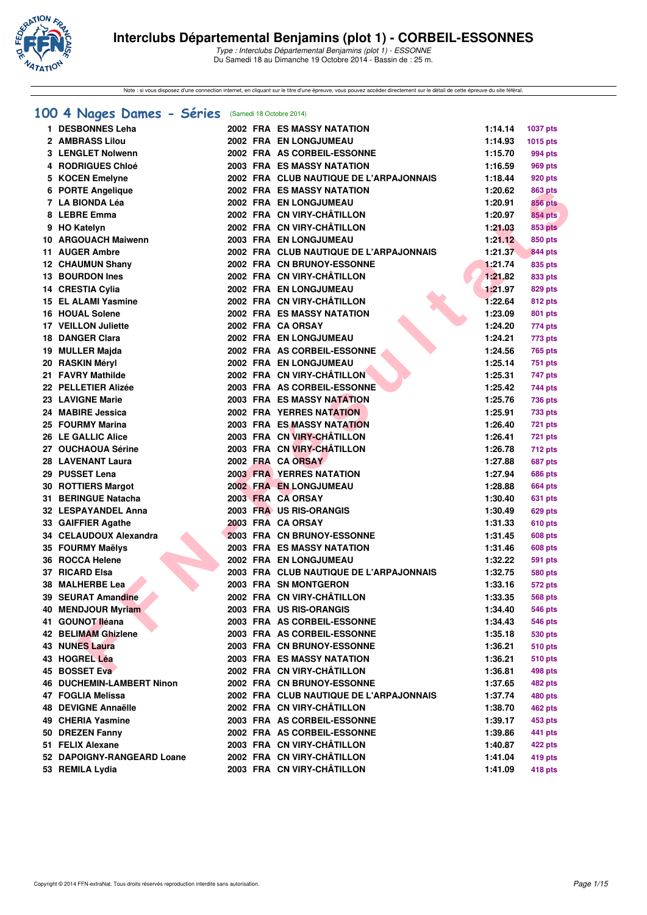

Note : si vous disposez d'une connection internet, en cliquant sur le titre d'une épreuve, vous pouvez accéder directement sur le détail de cette épreuve du site féféral.

# **[100 4 Nages Dames - Séries](http://www.ffnatation.fr/webffn/resultats.php?idact=nat&go=epr&idcpt=25189&idepr=40)** (Samedi 18 Octobre 2014)

| 1. | <b>DESBONNES Leha</b>            |  | <b>2002 FRA ES MASSY NATATION</b>       | 1:14.14 | 1037 pts        |
|----|----------------------------------|--|-----------------------------------------|---------|-----------------|
|    | 2 AMBRASS Lilou                  |  | 2002 FRA EN LONGJUMEAU                  | 1:14.93 | <b>1015 pts</b> |
|    | 3 LENGLET Nolwenn                |  | 2002 FRA AS CORBEIL-ESSONNE             | 1:15.70 | 994 pts         |
|    | 4 RODRIGUES Chloé                |  | 2003 FRA ES MASSY NATATION              | 1:16.59 | 969 pts         |
|    | 5 KOCEN Emelyne                  |  | 2002 FRA CLUB NAUTIQUE DE L'ARPAJONNAIS | 1:18.44 | 920 pts         |
|    | 6 PORTE Angelique                |  | <b>2002 FRA ES MASSY NATATION</b>       | 1:20.62 | 863 pts         |
|    | 7 LA BIONDA Léa                  |  | 2002 FRA EN LONGJUMEAU                  | 1:20.91 | <b>856 pts</b>  |
|    | 8 LEBRE Emma                     |  | 2002 FRA CN VIRY-CHÂTILLON              | 1:20.97 | <b>854 pts</b>  |
|    | 9 HO Katelyn                     |  | 2002 FRA CN VIRY-CHÂTILLON              | 1:21.03 | <b>853 pts</b>  |
|    | 10 ARGOUACH Maiwenn              |  | 2003 FRA EN LONGJUMEAU                  | 1:21.12 | 850 pts         |
|    | 11 AUGER Ambre                   |  | 2002 FRA CLUB NAUTIQUE DE L'ARPAJONNAIS | 1:21.37 | <b>844 pts</b>  |
|    | 12 CHAUMUN Shany                 |  | <b>2002 FRA CN BRUNOY-ESSONNE</b>       | 1:21.74 | 835 pts         |
|    | 13 BOURDON Ines                  |  | 2002 FRA CN VIRY-CHÂTILLON              | 1:21.82 | 833 pts         |
|    | 14 CRESTIA Cylia                 |  | 2002 FRA EN LONGJUMEAU                  | 1:21.97 | 829 pts         |
|    | <b>15 EL ALAMI Yasmine</b>       |  | 2002 FRA CN VIRY-CHÂTILLON              | 1:22.64 | <b>812 pts</b>  |
|    | <b>16 HOUAL Solene</b>           |  | <b>2002 FRA ES MASSY NATATION</b>       | 1:23.09 | <b>801 pts</b>  |
|    | 17 VEILLON Juliette              |  | 2002 FRA CA ORSAY                       | 1:24.20 | 774 pts         |
|    | 18 DANGER Clara                  |  | 2002 FRA EN LONGJUMEAU                  | 1:24.21 | 773 pts         |
|    | 19 MULLER Majda                  |  | 2002 FRA AS CORBEIL-ESSONNE             | 1:24.56 | 765 pts         |
|    | 20 RASKIN Méryl                  |  | 2002 FRA EN LONGJUMEAU                  | 1:25.14 | 751 pts         |
|    | 21 FAVRY Mathilde                |  | 2002 FRA CN VIRY-CHÂTILLON              | 1:25.31 | 747 pts         |
|    | 22 PELLETIER Alizée              |  | 2003 FRA AS CORBEIL-ESSONNE             | 1:25.42 | 744 pts         |
|    | 23 LAVIGNE Marie                 |  | <b>2003 FRA ES MASSY NATATION</b>       | 1:25.76 | 736 pts         |
|    | 24 MABIRE Jessica                |  | <b>2002 FRA YERRES NATATION</b>         | 1:25.91 | 733 pts         |
|    | 25 FOURMY Marina                 |  | <b>2003 FRA ES MASSY NATATION</b>       | 1:26.40 | 721 pts         |
|    | <b>26 LE GALLIC Alice</b>        |  | 2003 FRA CN VIRY-CHÂTILLON              | 1:26.41 | <b>721 pts</b>  |
|    | 27 OUCHAOUA Sérine               |  | 2003 FRA CN VIRY-CHÂTILLON              | 1:26.78 | 712 pts         |
|    | <b>28 LAVENANT Laura</b>         |  | 2002 FRA CA ORSAY                       | 1:27.88 | 687 pts         |
|    | 29 PUSSET Lena                   |  | <b>2003 FRA YERRES NATATION</b>         | 1:27.94 | 686 pts         |
|    | 30 ROTTIERS Margot               |  | 2002 FRA EN LONGJUMEAU                  | 1:28.88 | 664 pts         |
|    | 31 BERINGUE Natacha              |  | 2003 FRA CA ORSAY                       | 1:30.40 | 631 pts         |
|    | 32 LESPAYANDEL Anna              |  | 2003 FRA US RIS-ORANGIS                 | 1:30.49 | 629 pts         |
|    | 33 GAIFFIER Agathe               |  | 2003 FRA CA ORSAY                       | 1:31.33 | 610 pts         |
|    | 34 CELAUDOUX Alexandra           |  | 2003 FRA CN BRUNOY-ESSONNE              | 1:31.45 | 608 pts         |
|    | 35 FOURMY Maëlys                 |  | <b>2003 FRA ES MASSY NATATION</b>       | 1:31.46 | 608 pts         |
|    | 36 ROCCA Helene                  |  | 2002 FRA EN LONGJUMEAU                  | 1:32.22 | 591 pts         |
|    | 37 RICARD Elsa                   |  | 2003 FRA CLUB NAUTIQUE DE L'ARPAJONNAIS | 1:32.75 | 580 pts         |
|    | 38 MALHERBE Lea                  |  | 2003 FRA SN MONTGERON                   | 1:33.16 | 572 pts         |
|    | 39 SEURAT Amandine               |  | 2002 FRA CN VIRY-CHÂTILLON              | 1:33.35 | 568 pts         |
|    | 40 MENDJOUR Myriam               |  | 2003 FRA US RIS-ORANGIS                 | 1:34.40 | 546 pts         |
|    | 41 GOUNOT lléana                 |  | 2003 FRA AS CORBEIL-ESSONNE             | 1:34.43 | 546 pts         |
|    | 42 BELIMAM Ghizlene              |  | 2003 FRA AS CORBEIL-ESSONNE             | 1:35.18 | 530 pts         |
|    | <b>43 NUNES Laura</b>            |  | 2003 FRA CN BRUNOY-ESSONNE              | 1:36.21 | 510 pts         |
|    | 43 HOGREL Léa                    |  | <b>2003 FRA ES MASSY NATATION</b>       | 1:36.21 | 510 pts         |
|    | 45 BOSSET Eva                    |  | 2002 FRA CN VIRY-CHÂTILLON              | 1:36.81 | 498 pts         |
|    | <b>46 DUCHEMIN-LAMBERT Ninon</b> |  | 2002 FRA CN BRUNOY-ESSONNE              | 1:37.65 | 482 pts         |
|    | 47 FOGLIA Melissa                |  | 2002 FRA CLUB NAUTIQUE DE L'ARPAJONNAIS | 1:37.74 | 480 pts         |
|    | 48 DEVIGNE Annaëlle              |  | 2002 FRA CN VIRY-CHÂTILLON              | 1:38.70 | 462 pts         |
|    | 49 CHERIA Yasmine                |  | 2003 FRA AS CORBEIL-ESSONNE             | 1:39.17 | 453 pts         |
|    | 50 DREZEN Fanny                  |  | 2002 FRA AS CORBEIL-ESSONNE             | 1:39.86 | 441 pts         |
|    | 51 FELIX Alexane                 |  | 2003 FRA CN VIRY-CHÂTILLON              | 1:40.87 | <b>422 pts</b>  |
|    | 52 DAPOIGNY-RANGEARD Loane       |  | 2002 FRA CN VIRY-CHÂTILLON              | 1:41.04 | <b>419 pts</b>  |
|    | 53 REMILA Lydia                  |  | 2003 FRA CN VIRY-CHÂTILLON              | 1:41.09 | 418 pts         |
|    |                                  |  |                                         |         |                 |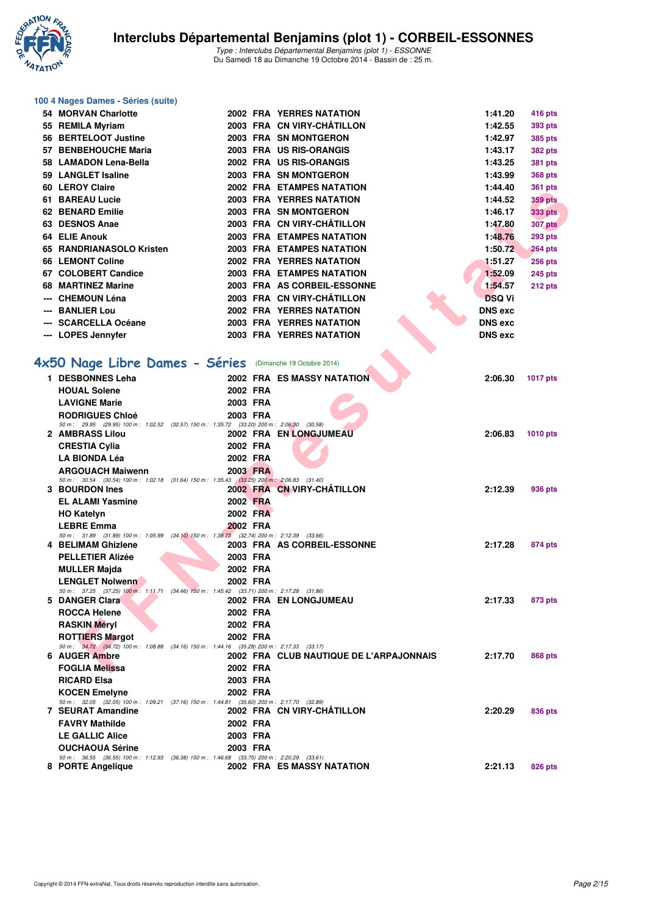

### **100 4 Nages Dames - Séries (suite)**

| 54. | <b>MORVAN Charlotte</b>                                                                                             |          | <b>2002 FRA YERRES NATATION</b>         | 1:41.20        | 416 pts         |
|-----|---------------------------------------------------------------------------------------------------------------------|----------|-----------------------------------------|----------------|-----------------|
|     | 55 REMILA Myriam                                                                                                    |          | 2003 FRA CN VIRY-CHÂTILLON              | 1:42.55        | 393 pts         |
|     | 56 BERTELOOT Justine                                                                                                |          | 2003 FRA SN MONTGERON                   | 1:42.97        | 385 pts         |
|     | 57 BENBEHOUCHE Maria                                                                                                |          | 2003 FRA US RIS-ORANGIS                 | 1:43.17        | <b>382 pts</b>  |
|     | 58 LAMADON Lena-Bella                                                                                               |          | 2002 FRA US RIS-ORANGIS                 | 1:43.25        | <b>381 pts</b>  |
|     | 59 LANGLET Isaline                                                                                                  |          | 2003 FRA SN MONTGERON                   | 1:43.99        | <b>368 pts</b>  |
|     | 60 LEROY Claire                                                                                                     |          | <b>2002 FRA ETAMPES NATATION</b>        | 1:44.40        | <b>361 pts</b>  |
|     | 61 BAREAU Lucie                                                                                                     |          | 2003 FRA YERRES NATATION                | 1:44.52        | <b>359 pts</b>  |
|     | 62 BENARD Emilie                                                                                                    |          | 2003 FRA SN MONTGERON                   | 1:46.17        | 333 pts         |
|     | 63 DESNOS Anae                                                                                                      |          | 2003 FRA CN VIRY-CHÂTILLON              | 1:47.80        | <b>307 pts</b>  |
|     | 64 ELIE Anouk                                                                                                       |          | <b>2003 FRA ETAMPES NATATION</b>        | 1:48.76        | <b>293 pts</b>  |
|     | 65 RANDRIANASOLO Kristen                                                                                            |          | <b>2003 FRA ETAMPES NATATION</b>        | 1:50.72        | <b>264 pts</b>  |
|     | 66 LEMONT Coline                                                                                                    |          | 2002 FRA YERRES NATATION                | 1:51.27        | <b>256 pts</b>  |
|     | 67 COLOBERT Candice                                                                                                 |          | <b>2003 FRA ETAMPES NATATION</b>        | 1:52.09        | <b>245 pts</b>  |
|     | 68 MARTINEZ Marine                                                                                                  |          | 2003 FRA AS CORBEIL-ESSONNE             | 1:54.57        | 212 pts         |
|     | --- CHEMOUN Léna                                                                                                    |          | 2003 FRA CN VIRY-CHÂTILLON              | <b>DSQ Vi</b>  |                 |
|     | <b>BANLIER Lou</b>                                                                                                  |          | <b>2002 FRA YERRES NATATION</b>         | <b>DNS</b> exc |                 |
|     | <b>SCARCELLA Océane</b>                                                                                             |          | 2003 FRA YERRES NATATION                | <b>DNS</b> exc |                 |
|     | --- LOPES Jennyfer                                                                                                  |          | 2003 FRA YERRES NATATION                | <b>DNS</b> exc |                 |
|     |                                                                                                                     |          |                                         |                |                 |
|     | 4x50 Nage Libre Dames - Séries (Dimanche 19 Octobre 2014)                                                           |          |                                         |                |                 |
|     | 1 DESBONNES Leha                                                                                                    |          | <b>2002 FRA ES MASSY NATATION</b>       | 2:06.30        | <b>1017 pts</b> |
|     | <b>HOUAL Solene</b>                                                                                                 | 2002 FRA |                                         |                |                 |
|     | <b>LAVIGNE Marie</b>                                                                                                | 2003 FRA |                                         |                |                 |
|     | <b>RODRIGUES Chloé</b>                                                                                              | 2003 FRA |                                         |                |                 |
|     | 50 m: 29.95 (29.95) 100 m: 1:02.52 (32.57) 150 m: 1:35.72 (33.20) 200 m: 2:06.30 (30.58)                            |          |                                         |                |                 |
|     | 2 AMBRASS Lilou                                                                                                     |          | 2002 FRA EN LONGJUMEAU                  | 2:06.83        | <b>1010 pts</b> |
|     | <b>CRESTIA Cylia</b>                                                                                                | 2002 FRA |                                         |                |                 |
|     | <b>LA BIONDA Léa</b>                                                                                                | 2002 FRA |                                         |                |                 |
|     | <b>ARGOUACH Maiwenn</b><br>50 m: 30.54 (30.54) 100 m: 1:02.18 (31.64) 150 m: 1:35.43 (33.25) 200 m: 2:06.83 (31.40) | 2003 FRA |                                         |                |                 |
|     | 3 BOURDON Ines                                                                                                      |          | 2002 FRA CN VIRY-CHATILLON              | 2:12.39        | 936 pts         |
|     | <b>EL ALAMI Yasmine</b>                                                                                             | 2002 FRA |                                         |                |                 |
|     | <b>HO Katelyn</b>                                                                                                   | 2002 FRA |                                         |                |                 |
|     | <b>LEBRE Emma</b>                                                                                                   | 2002 FRA |                                         |                |                 |
|     | 50 m: 31.89 (31.89) 100 m: 1:05.99 (34.10) 150 m: 1:38.73 (32.74) 200 m: 2:12.39 (33.66)                            |          |                                         |                |                 |
|     | 4 BELIMAM Ghizlene                                                                                                  |          | 2003 FRA AS CORBEIL-ESSONNE             | 2:17.28        | 874 pts         |
|     | <b>PELLETIER Alizée</b>                                                                                             | 2003 FRA |                                         |                |                 |
|     | <b>MULLER Majda</b>                                                                                                 | 2002 FRA |                                         |                |                 |
|     | <b>LENGLET Nolwenn</b>                                                                                              | 2002 FRA |                                         |                |                 |
|     | 50 m: 37.25 (37.25) 100 m: 1:11.71 (34.46) 150 m: 1:45.42 (33.71) 200 m: 2:17.28 (31.86)<br>5 DANGER Clara          |          | 2002 FRA ENLONGJUMEAU                   | 2:17.33        | 873 pts         |
|     | <b>ROCCA Helene</b>                                                                                                 | 2002 FRA |                                         |                |                 |
|     | <b>RASKIN Méryl</b>                                                                                                 | 2002 FRA |                                         |                |                 |
|     | <b>ROTTIERS Margot</b>                                                                                              | 2002 FRA |                                         |                |                 |
|     | 50 m: 34.72 (34.72) 100 m: 1:08.88 (34.16) 150 m: 1:44.16 (35.28) 200 m: 2:17.33 (33.17)                            |          |                                         |                |                 |
|     | 6 AUGER Ambre                                                                                                       |          | 2002 FRA CLUB NAUTIQUE DE L'ARPAJONNAIS | 2:17.70        | 868 pts         |
|     | <b>FOGLIA Melissa</b>                                                                                               | 2002 FRA |                                         |                |                 |
|     | <b>RICARD Elsa</b>                                                                                                  | 2003 FRA |                                         |                |                 |
|     | <b>KOCEN Emelyne</b>                                                                                                | 2002 FRA |                                         |                |                 |
|     | 50 m: 32.05 (32.05) 100 m: 1:09.21 (37.16) 150 m: 1:44.81 (35.60) 200 m: 2:17.70 (32.89)                            |          |                                         |                |                 |
|     | 7 SEURAT Amandine                                                                                                   |          | 2002 FRA CN VIRY-CHATILLON              | 2:20.29        | 836 pts         |
|     | <b>FAVRY Mathilde</b>                                                                                               | 2002 FRA |                                         |                |                 |
|     | <b>LE GALLIC Alice</b>                                                                                              | 2003 FRA |                                         |                |                 |
|     | <b>OUCHAOUA Sérine</b><br>50 m: 36.55 (36.55) 100 m: 1:12.93 (36.38) 150 m: 1:46.68 (33.75) 200 m: 2:20.29 (33.61)  | 2003 FRA |                                         |                |                 |
|     | 8 PORTE Angelique                                                                                                   |          | 2002 FRA ES MASSY NATATION              | 2:21.13        | 826 pts         |
|     |                                                                                                                     |          |                                         |                |                 |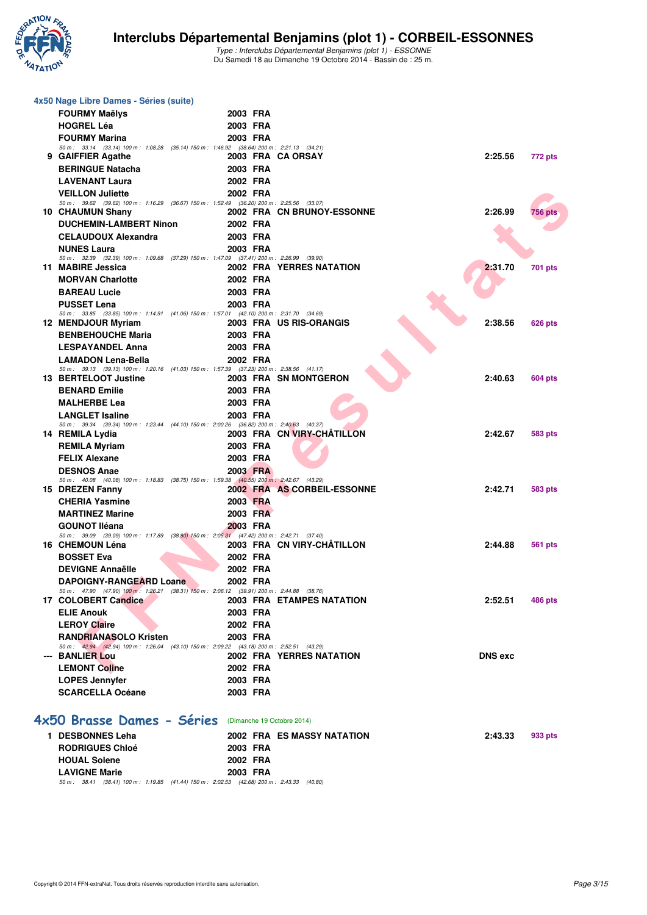

| 4x50 Nage Libre Dames - Séries (suite)                                                                                |                            |                                   |                           |  |
|-----------------------------------------------------------------------------------------------------------------------|----------------------------|-----------------------------------|---------------------------|--|
| <b>FOURMY Maëlys</b>                                                                                                  | 2003 FRA                   |                                   |                           |  |
| <b>HOGREL Léa</b>                                                                                                     | 2003 FRA                   |                                   |                           |  |
| <b>FOURMY Marina</b>                                                                                                  | 2003 FRA                   |                                   |                           |  |
| 50 m: 33.14 (33.14) 100 m: 1:08.28 (35.14) 150 m: 1:46.92 (38.64) 200 m: 2:21.13 (34.21)                              | 2003 FRA CA ORSAY          |                                   |                           |  |
| 9 GAIFFIER Agathe                                                                                                     |                            |                                   | 2:25.56<br>772 pts        |  |
| <b>BERINGUE Natacha</b>                                                                                               | 2003 FRA                   |                                   |                           |  |
| <b>LAVENANT Laura</b>                                                                                                 | 2002 FRA                   |                                   |                           |  |
| <b>VEILLON Juliette</b><br>50 m: 39.62 (39.62) 100 m: 1:16.29 (36.67) 150 m: 1:52.49 (36.20) 200 m: 2:25.56 (33.07)   | 2002 FRA                   |                                   |                           |  |
| 10 CHAUMUN Shany                                                                                                      |                            | 2002 FRA CN BRUNOY-ESSONNE        | 2:26.99<br><b>756 pts</b> |  |
| <b>DUCHEMIN-LAMBERT Ninon</b>                                                                                         | 2002 FRA                   |                                   |                           |  |
| <b>CELAUDOUX Alexandra</b>                                                                                            | 2003 FRA                   |                                   |                           |  |
| <b>NUNES Laura</b>                                                                                                    | 2003 FRA                   |                                   |                           |  |
| 50 m: 32.39 (32.39) 100 m: 1.09.68 (37.29) 150 m: 1.47.09 (37.41) 200 m: 2.26.99 (39.90)                              |                            |                                   |                           |  |
| 11 MABIRE Jessica                                                                                                     |                            | 2002 FRA YERRES NATATION          | 2:31.70<br><b>701 pts</b> |  |
| <b>MORVAN Charlotte</b>                                                                                               | 2002 FRA                   |                                   |                           |  |
| <b>BAREAU Lucie</b>                                                                                                   | 2003 FRA                   |                                   |                           |  |
| <b>PUSSET Lena</b>                                                                                                    | 2003 FRA                   |                                   |                           |  |
| 50 m: 33.85 (33.85) 100 m: 1:14.91 (41.06) 150 m: 1:57.01 (42.10) 200 m: 2:31.70 (34.69)                              |                            |                                   |                           |  |
| 12 MENDJOUR Myriam                                                                                                    |                            | 2003 FRA US RIS-ORANGIS           | 2:38.56<br><b>626 pts</b> |  |
| <b>BENBEHOUCHE Maria</b>                                                                                              | 2003 FRA                   |                                   |                           |  |
| <b>LESPAYANDEL Anna</b>                                                                                               | 2003 FRA                   |                                   |                           |  |
| <b>LAMADON Lena-Bella</b><br>50 m: 39.13 (39.13) 100 m: 1:20.16 (41.03) 150 m: 1:57.39 (37.23) 200 m: 2:38.56 (41.17) | 2002 FRA                   |                                   |                           |  |
| 13 BERTELOOT Justine                                                                                                  |                            | 2003 FRA SN MONTGERON             | 2:40.63<br><b>604 pts</b> |  |
| <b>BENARD Emilie</b>                                                                                                  | 2003 FRA                   |                                   |                           |  |
| <b>MALHERBE Lea</b>                                                                                                   | 2003 FRA                   |                                   |                           |  |
| <b>LANGLET Isaline</b>                                                                                                | 2003 FRA                   |                                   |                           |  |
| 50 m: 39.34 (39.34) 100 m: 1:23.44 (44.10) 150 m: 2:00.26 (36.82) 200 m: 2:40.63 (40.37)                              |                            |                                   |                           |  |
| 14 REMILA Lydia                                                                                                       |                            | 2003 FRA CN VIRY-CHATILLON        | 2:42.67<br><b>583 pts</b> |  |
| <b>REMILA Myriam</b>                                                                                                  | 2003 FRA                   |                                   |                           |  |
| <b>FELIX Alexane</b>                                                                                                  | 2003 FRA                   |                                   |                           |  |
| <b>DESNOS Anae</b>                                                                                                    | 2003 FRA                   |                                   |                           |  |
| 50 m: 40.08 (40.08) 100 m: 1:18.83 (38.75) 150 m: 1:59.38 (40.55) 200 m: 2:42.67 (43.29)                              |                            |                                   |                           |  |
| 15 DREZEN Fanny                                                                                                       |                            | 2002 FRA AS CORBEIL-ESSONNE       | 2:42.71<br><b>583 pts</b> |  |
| <b>CHERIA Yasmine</b>                                                                                                 | 2003 FRA                   |                                   |                           |  |
| <b>MARTINEZ Marine</b>                                                                                                | 2003 FRA                   |                                   |                           |  |
| <b>GOUNOT Iléana</b>                                                                                                  | 2003 FRA                   |                                   |                           |  |
| 50 m: 39.09 (39.09) 100 m: 1:17.89 (38.80) 150 m: 2:05.31 (47.42) 200 m: 2:42.71 (37.40)<br>16 CHEMOUN Léna           |                            | 2003 FRA CN VIRY-CHÂTILLON        | 2:44.88<br>561 pts        |  |
| <b>BOSSET Eva</b>                                                                                                     | 2002 FRA                   |                                   |                           |  |
| <b>DEVIGNE Annaëlle</b>                                                                                               | 2002 FRA                   |                                   |                           |  |
| <b>DAPOIGNY-RANGEARD Loane</b>                                                                                        | 2002 FRA                   |                                   |                           |  |
| 50 m: 47.90 (47.90) 100 m: 1:26.21 (38.31) 150 m: 2:06.12 (39.91) 200 m: 2:44.88 (38.76)                              |                            |                                   |                           |  |
| 17 COLOBERT Candice                                                                                                   |                            | 2003 FRA ETAMPES NATATION         | 2:52.51<br>486 pts        |  |
| <b>ELIE Anouk</b>                                                                                                     | 2003 FRA                   |                                   |                           |  |
| <b>LEROY Claire</b>                                                                                                   | 2002 FRA                   |                                   |                           |  |
| <b>RANDRIANASOLO Kristen</b>                                                                                          | 2003 FRA                   |                                   |                           |  |
| 50 m: 42.94 (42.94) 100 m: 1:26.04 (43.10) 150 m: 2:09.22 (43.18) 200 m: 2:52.51 (43.29)                              |                            |                                   |                           |  |
| --- BANLIER Lou                                                                                                       |                            | <b>2002 FRA YERRES NATATION</b>   | <b>DNS exc</b>            |  |
| <b>LEMONT Coline</b>                                                                                                  | 2002 FRA                   |                                   |                           |  |
| <b>LOPES Jennyfer</b>                                                                                                 | 2003 FRA                   |                                   |                           |  |
| <b>SCARCELLA Océane</b>                                                                                               | 2003 FRA                   |                                   |                           |  |
|                                                                                                                       |                            |                                   |                           |  |
| 4x50 Brasse Dames - Séries                                                                                            | (Dimanche 19 Octobre 2014) |                                   |                           |  |
|                                                                                                                       |                            |                                   |                           |  |
| 1 DESBONNES Leha                                                                                                      |                            | <b>2002 FRA ES MASSY NATATION</b> | 2:43.33<br>933 pts        |  |
| <b>RODRIGUES Chloé</b>                                                                                                | 2003 FRA                   |                                   |                           |  |
| <b>HOUAL Solene</b>                                                                                                   | 2002 FRA                   |                                   |                           |  |

**LAVIGNE Marie** 2003 **FRA**<br>50 m : 38.41 (38.41) 100 m : 1:19.85 (41.44) 150 m : 2:02.53 (42.68) 200 m : 2:43.33 (40.80)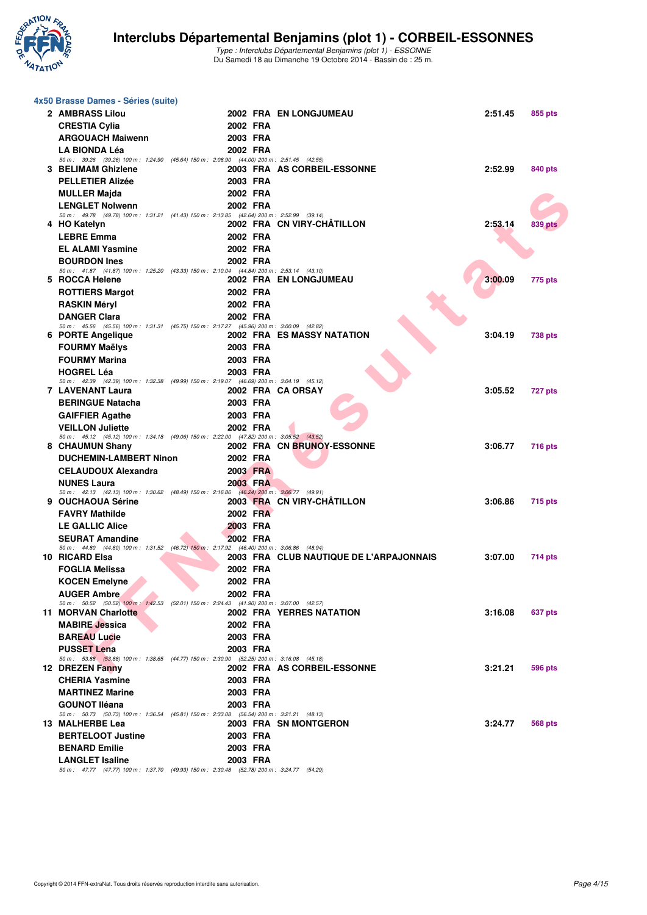

| 4x50 Brasse Dames - Séries (suite)                                                                              |                      |                                         |         |                |
|-----------------------------------------------------------------------------------------------------------------|----------------------|-----------------------------------------|---------|----------------|
| 2 AMBRASS Lilou                                                                                                 |                      | 2002 FRA EN LONGJUMEAU                  | 2:51.45 | 855 pts        |
| <b>CRESTIA Cylia</b>                                                                                            | 2002 FRA             |                                         |         |                |
| <b>ARGOUACH Maiwenn</b>                                                                                         | 2003 FRA             |                                         |         |                |
| <b>LA BIONDA Léa</b>                                                                                            | 2002 FRA             |                                         |         |                |
| 50 m: 39.26 (39.26) 100 m: 1:24.90 (45.64) 150 m: 2:08.90 (44.00) 200 m: 2:51.45 (42.55)                        |                      |                                         |         |                |
| 3 BELIMAM Ghizlene                                                                                              |                      | 2003 FRA AS CORBEIL-ESSONNE             | 2:52.99 | 840 pts        |
| <b>PELLETIER Alizée</b>                                                                                         | 2003 FRA             |                                         |         |                |
| <b>MULLER Majda</b>                                                                                             | 2002 FRA             |                                         |         |                |
| <b>LENGLET Nolwenn</b>                                                                                          | 2002 FRA             |                                         |         |                |
| 50 m: 49.78 (49.78) 100 m: 1:31.21 (41.43) 150 m: 2:13.85 (42.64) 200 m: 2:52.99 (39.14)                        |                      | 2002 FRA CN VIRY-CHATILLON              | 2:53.14 |                |
| 4 HO Katelyn                                                                                                    |                      |                                         |         | <b>839 pts</b> |
| <b>LEBRE Emma</b>                                                                                               | 2002 FRA             |                                         |         |                |
| <b>EL ALAMI Yasmine</b>                                                                                         | 2002 FRA             |                                         |         |                |
| <b>BOURDON Ines</b><br>50 m: 41.87 (41.87) 100 m: 1:25.20 (43.33) 150 m: 2:10.04 (44.84) 200 m: 2:53.14 (43.10) | 2002 FRA             |                                         |         |                |
| 5 ROCCA Helene                                                                                                  |                      | 2002 FRA EN LONGJUMEAU                  | 3:00.09 | 775 pts        |
| <b>ROTTIERS Margot</b>                                                                                          | 2002 FRA             |                                         |         |                |
| <b>RASKIN Méryl</b>                                                                                             | 2002 FRA             |                                         |         |                |
| <b>DANGER Clara</b>                                                                                             | 2002 FRA             |                                         |         |                |
| 50 m: 45.56 (45.56) 100 m: 1:31.31 (45.75) 150 m: 2:17.27 (45.96) 200 m: 3:00.09 (42.82)                        |                      |                                         |         |                |
| 6 PORTE Angelique                                                                                               |                      | 2002 FRA ES MASSY NATATION              | 3:04.19 | <b>738 pts</b> |
| <b>FOURMY Maëlys</b>                                                                                            | 2003 FRA             |                                         |         |                |
| <b>FOURMY Marina</b>                                                                                            | 2003 FRA             |                                         |         |                |
| <b>HOGREL Léa</b>                                                                                               | 2003 FRA             |                                         |         |                |
| 50 m: 42.39 (42.39) 100 m: 1:32.38 (49.99) 150 m: 2:19.07 (46.69) 200 m: 3:04.19 (45.12)<br>7 LAVENANT Laura    | 2002 FRA CA ORSAY    |                                         | 3:05.52 | 727 pts        |
| <b>BERINGUE Natacha</b>                                                                                         | 2003 FRA             |                                         |         |                |
| <b>GAIFFIER Agathe</b>                                                                                          | 2003 FRA             |                                         |         |                |
| <b>VEILLON Juliette</b>                                                                                         | 2002 FRA             |                                         |         |                |
| 50 m: 45.12 (45.12) 100 m: 1:34.18 (49.06) 150 m: 2:22.00 (47.82) 200 m: 3:05.52 (43.52)                        |                      |                                         |         |                |
| 8 CHAUMUN Shany                                                                                                 |                      | 2002 FRA CN BRUNOY-ESSONNE              | 3:06.77 | <b>716 pts</b> |
| <b>DUCHEMIN-LAMBERT Ninon</b>                                                                                   | 2002 FRA             |                                         |         |                |
| <b>CELAUDOUX Alexandra</b>                                                                                      | 2003 FRA             |                                         |         |                |
| <b>NUNES Laura</b>                                                                                              | 2003 FRA             |                                         |         |                |
| 50 m: 42.13 (42.13) 100 m: 1:30.62 (48.49) 150 m: 2:16.86 (46.24) 200 m: 3:06.77 (49.91)<br>9 OUCHAOUA Sérine   |                      | 2003 FRA CN VIRY-CHÂTILLON              | 3:06.86 | 715 pts        |
| <b>FAVRY Mathilde</b>                                                                                           | 2002 FRA             |                                         |         |                |
| <b>LE GALLIC Alice</b>                                                                                          | 2003 FRA             |                                         |         |                |
| <b>SEURAT Amandine</b>                                                                                          | 2002 FRA             |                                         |         |                |
| 50 m: 44.80 (44.80) 100 m: 1:31.52 (46.72) 150 m: 2:17.92 (46.40) 200 m: 3:06.86 (48.94)                        |                      |                                         |         |                |
| 10 RICARD Elsa                                                                                                  |                      | 2003 FRA CLUB NAUTIQUE DE L'ARPAJONNAIS | 3:07.00 | 714 pts        |
| <b>FOGLIA Melissa</b>                                                                                           | 2002 FRA             |                                         |         |                |
| <b>KOCEN Emelvne</b>                                                                                            | 2002 FRA             |                                         |         |                |
| <b>AUGER Ambre</b>                                                                                              | 2002 FRA             |                                         |         |                |
| 50 m: 50.52 (50.52) 100 m: 1:42.53 (52.01) 150 m: 2:24.43 (41.90) 200 m: 3:07.00 (42.57)<br>11 MORVAN Charlotte |                      | 2002 FRA YERRES NATATION                | 3:16.08 |                |
| <b>MABIRE</b> Jessica                                                                                           | 2002 FRA             |                                         |         | 637 pts        |
|                                                                                                                 |                      |                                         |         |                |
| <b>BAREAU Lucie</b>                                                                                             | 2003 FRA             |                                         |         |                |
| <b>PUSSET Lena</b><br>50 m: 53.88 (53.88) 100 m: 1:38.65 (44.77) 150 m: 2:30.90 (52.25) 200 m: 3:16.08 (45.18)  | 2003 FRA             |                                         |         |                |
| 12 DREZEN Fanny                                                                                                 |                      | 2002 FRA AS CORBEIL-ESSONNE             | 3:21.21 | 596 pts        |
| <b>CHERIA Yasmine</b>                                                                                           | 2003 FRA             |                                         |         |                |
| <b>MARTINEZ Marine</b>                                                                                          | 2003 FRA             |                                         |         |                |
| <b>GOUNOT Iléana</b>                                                                                            | 2003 FRA             |                                         |         |                |
| 50 m: 50.73 (50.73) 100 m: 1:36.54 (45.81) 150 m: 2:33.08 (56.54) 200 m: 3:21.21 (48.13)                        |                      |                                         |         |                |
| 13 MALHERBE Lea                                                                                                 |                      | 2003 FRA SN MONTGERON                   | 3:24.77 | 568 pts        |
| <b>BERTELOOT Justine</b>                                                                                        | 2003 FRA             |                                         |         |                |
| <b>BENARD Emilie</b><br><b>LANGLET Isaline</b>                                                                  | 2003 FRA<br>2003 FRA |                                         |         |                |
| 50 m: 47.77 (47.77) 100 m: 1:37.70 (49.93) 150 m: 2:30.48 (52.78) 200 m: 3:24.77 (54.29)                        |                      |                                         |         |                |
|                                                                                                                 |                      |                                         |         |                |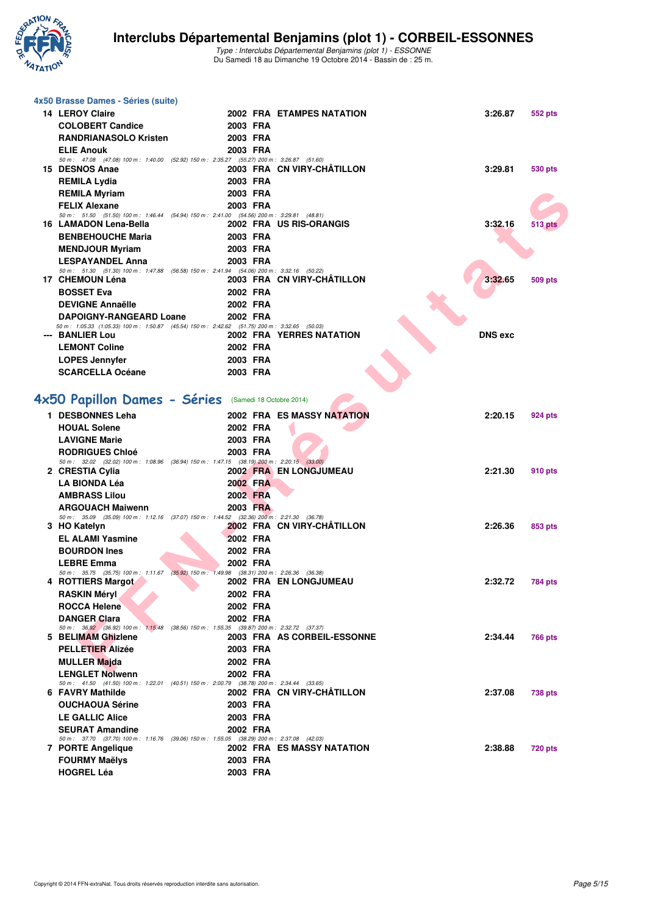

| 4x50 Brasse Dames - Séries (suite)                                                                                 |          |                                   |                |                |
|--------------------------------------------------------------------------------------------------------------------|----------|-----------------------------------|----------------|----------------|
| <b>14 LEROY Claire</b>                                                                                             |          | 2002 FRA ETAMPES NATATION         | 3:26.87        | 552 pts        |
| <b>COLOBERT Candice</b>                                                                                            | 2003 FRA |                                   |                |                |
| <b>RANDRIANASOLO Kristen</b>                                                                                       | 2003 FRA |                                   |                |                |
| <b>ELIE Anouk</b>                                                                                                  | 2003 FRA |                                   |                |                |
| 50 m: 47.08 (47.08) 100 m: 1.40.00 (52.92) 150 m: 2:35.27 (55.27) 200 m: 3:26.87 (51.60)                           |          |                                   |                |                |
| 15 DESNOS Anae                                                                                                     | 2003 FRA | 2003 FRA CN VIRY-CHATILLON        | 3:29.81        | 530 pts        |
| <b>REMILA Lydia</b>                                                                                                | 2003 FRA |                                   |                |                |
| <b>REMILA Myriam</b><br><b>FELIX Alexane</b>                                                                       | 2003 FRA |                                   |                |                |
| 50 m: 51.50 (51.50) 100 m: 1:46.44 (54.94) 150 m: 2:41.00 (54.56) 200 m: 3:29.81 (48.81)                           |          |                                   |                |                |
| 16 LAMADON Lena-Bella                                                                                              |          | 2002 FRA US RIS-ORANGIS           | 3:32.16        | 513 pts        |
| <b>BENBEHOUCHE Maria</b>                                                                                           | 2003 FRA |                                   |                |                |
| <b>MENDJOUR Myriam</b>                                                                                             | 2003 FRA |                                   |                |                |
| <b>LESPAYANDEL Anna</b>                                                                                            | 2003 FRA |                                   |                |                |
| 50 m: 51.30 (51.30) 100 m: 1:47.88 (56.58) 150 m: 2:41.94 (54.06) 200 m: 3:32.16 (50.22)<br>17 CHEMOUN Léna        |          | 2003 FRA CN VIRY-CHATILLON        | 3:32.65        | 509 pts        |
| <b>BOSSET Eva</b>                                                                                                  | 2002 FRA |                                   |                |                |
| <b>DEVIGNE Annaëlle</b>                                                                                            | 2002 FRA |                                   |                |                |
| <b>DAPOIGNY-RANGEARD Loane</b>                                                                                     | 2002 FRA |                                   |                |                |
| 50 m: 1:05.33 (1:05.33) 100 m: 1:50.87 (45.54) 150 m: 2:42.62 (51.75) 200 m: 3:32.65 (50.03)                       |          |                                   |                |                |
| --- BANLIER Lou                                                                                                    |          | <b>2002 FRA YERRES NATATION</b>   | <b>DNS</b> exc |                |
| <b>LEMONT Coline</b>                                                                                               | 2002 FRA |                                   |                |                |
| <b>LOPES Jennyfer</b><br><b>SCARCELLA Océane</b>                                                                   | 2003 FRA |                                   |                |                |
|                                                                                                                    | 2003 FRA |                                   |                |                |
|                                                                                                                    |          |                                   |                |                |
| 4x50 Papillon Dames - Séries (Samedi 18 Octobre 2014)                                                              |          |                                   |                |                |
| 1 DESBONNES Leha                                                                                                   |          | <b>2002 FRA ES MASSY NATATION</b> | 2:20.15        | 924 pts        |
| <b>HOUAL Solene</b>                                                                                                | 2002 FRA |                                   |                |                |
| <b>LAVIGNE Marie</b>                                                                                               | 2003 FRA |                                   |                |                |
| <b>RODRIGUES Chloé</b><br>50 m: 32.02 (32.02) 100 m: 1:08.96 (36.94) 150 m: 1:47.15 (38.19) 200 m: 2:20.15 (33.00) | 2003 FRA |                                   |                |                |
| 2 CRESTIA Cylia                                                                                                    |          | 2002 FRA EN LONGJUMEAU            | 2:21.30        | 910 pts        |
| <b>LA BIONDA Léa</b>                                                                                               | 2002 FRA |                                   |                |                |
| <b>AMBRASS Lilou</b>                                                                                               | 2002 FRA |                                   |                |                |
| <b>ARGOUACH Maiwenn</b>                                                                                            | 2003 FRA |                                   |                |                |
| 50 m: 35.09 (35.09) 100 m: 1:12.16 (37.07) 150 m: 1:44.52 (32.36) 200 m: 2:21.30 (36.78)<br>3 HO Katelyn           |          | 2002 FRA CN VIRY-CHATILLON        | 2:26.36        | 853 pts        |
| <b>EL ALAMI Yasmine</b>                                                                                            | 2002 FRA |                                   |                |                |
| <b>BOURDON Ines</b>                                                                                                | 2002 FRA |                                   |                |                |
| <b>LEBRE Emma</b>                                                                                                  | 2002 FRA |                                   |                |                |
| 50 m: 35.75 (35.75) 100 m: 1:11.67 (35.92) 150 m: 1:49.98 (38.31) 200 m: 2:26.36 (36.38)                           |          |                                   |                |                |
| 4 ROTTIERS Margot                                                                                                  |          | 2002 FRA EN LONGJUMEAU            | 2:32.72        | 784 pts        |
| <b>RASKIN Méryl</b>                                                                                                | 2002 FRA |                                   |                |                |
| <b>ROCCA Helene</b>                                                                                                | 2002 FRA |                                   |                |                |
| <b>DANGER Clara</b><br>50 m: 36.92 (36.92) 100 m: 1:15.48 (38.56) 150 m: 1:55.35 (39.87) 200 m: 2:32.72 (37.37)    | 2002 FRA |                                   |                |                |
| 5 BELIMAM Ghizlene                                                                                                 |          | 2003 FRA AS CORBEIL-ESSONNE       | 2:34.44        | <b>766 pts</b> |
| <b>PELLETIER Alizée</b>                                                                                            | 2003 FRA |                                   |                |                |
| <b>MULLER Majda</b>                                                                                                | 2002 FRA |                                   |                |                |
| <b>LENGLET Nolwenn</b>                                                                                             | 2002 FRA |                                   |                |                |
| 50 m: 41.50 (41.50) 100 m: 1:22.01 (40.51) 150 m: 2:00.79 (38.78) 200 m: 2:34.44 (33.65)<br>6 FAVRY Mathilde       |          | 2002 FRA CN VIRY-CHÂTILLON        | 2:37.08        | 738 pts        |
| <b>OUCHAOUA Sérine</b>                                                                                             | 2003 FRA |                                   |                |                |
| <b>LE GALLIC Alice</b>                                                                                             | 2003 FRA |                                   |                |                |
| <b>SEURAT Amandine</b>                                                                                             | 2002 FRA |                                   |                |                |
| 50 m: 37.70 (37.70) 100 m: 1:16.76 (39.06) 150 m: 1:55.05 (38.29) 200 m: 2:37.08 (42.03)                           |          |                                   |                |                |
| 7 PORTE Angelique                                                                                                  |          | 2002 FRA ES MASSY NATATION        | 2:38.88        | <b>720 pts</b> |
| <b>FOURMY Maëlys</b>                                                                                               | 2003 FRA |                                   |                |                |
| <b>HOGREL Léa</b>                                                                                                  | 2003 FRA |                                   |                |                |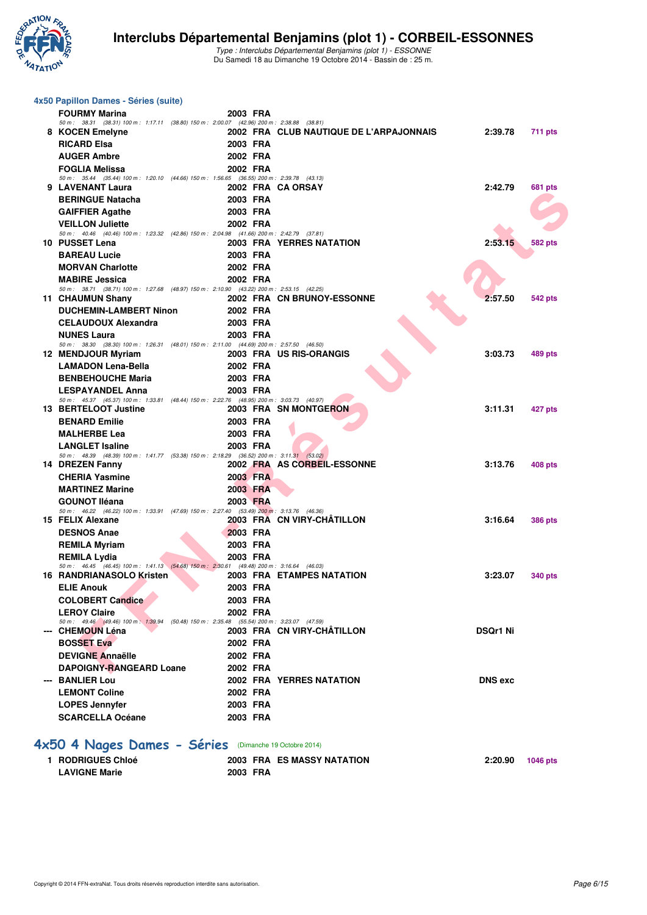

| 4x50 Papillon Dames - Séries (suite)                                                                                |          |                                         |                 |                |
|---------------------------------------------------------------------------------------------------------------------|----------|-----------------------------------------|-----------------|----------------|
| <b>FOURMY Marina</b>                                                                                                | 2003 FRA |                                         |                 |                |
| 50 m: 38.31 (38.31) 100 m: 1:17.11 (38.80) 150 m: 2:00.07 (42.96) 200 m: 2:38.88 (38.81)                            |          |                                         | 2:39.78         |                |
| 8 KOCEN Emelyne                                                                                                     | 2003 FRA | 2002 FRA CLUB NAUTIQUE DE L'ARPAJONNAIS |                 | 711 pts        |
| <b>RICARD Elsa</b>                                                                                                  | 2002 FRA |                                         |                 |                |
| <b>AUGER Ambre</b>                                                                                                  |          |                                         |                 |                |
| <b>FOGLIA Melissa</b><br>50 m: 35.44 (35.44) 100 m: 1:20.10 (44.66) 150 m: 1:56.65 (36.55) 200 m: 2:39.78 (43.13)   | 2002 FRA |                                         |                 |                |
| 9 LAVENANT Laura                                                                                                    |          | 2002 FRA CA ORSAY                       | 2:42.79         | 681 pts        |
| <b>BERINGUE Natacha</b>                                                                                             | 2003 FRA |                                         |                 |                |
| <b>GAIFFIER Agathe</b>                                                                                              | 2003 FRA |                                         |                 |                |
| <b>VEILLON Juliette</b>                                                                                             | 2002 FRA |                                         |                 |                |
| 50 m: 40.46 (40.46) 100 m: 1:23.32 (42.86) 150 m: 2:04.98 (41.66) 200 m: 2:42.79 (37.81)                            |          |                                         |                 |                |
| 10 PUSSET Lena                                                                                                      |          | 2003 FRA YERRES NATATION                | 2:53.15         | <b>582 pts</b> |
| <b>BAREAU Lucie</b>                                                                                                 | 2003 FRA |                                         |                 |                |
| <b>MORVAN Charlotte</b>                                                                                             | 2002 FRA |                                         |                 |                |
| <b>MABIRE Jessica</b><br>50 m: 38.71 (38.71) 100 m: 1:27.68 (48.97) 150 m: 2:10.90 (43.22) 200 m: 2:53.15 (42.25)   | 2002 FRA |                                         |                 |                |
| 11 CHAUMUN Shany                                                                                                    |          | 2002 FRA CN BRUNOY-ESSONNE              | 2:57.50         | <b>542 pts</b> |
| <b>DUCHEMIN-LAMBERT Ninon</b>                                                                                       | 2002 FRA |                                         |                 |                |
| <b>CELAUDOUX Alexandra</b>                                                                                          | 2003 FRA |                                         |                 |                |
| <b>NUNES Laura</b>                                                                                                  | 2003 FRA |                                         |                 |                |
| 50 m: 38.30 (38.30) 100 m: 1:26.31 (48.01) 150 m: 2:11.00 (44.69) 200 m: 2:57.50 (46.50)                            |          |                                         |                 |                |
| 12 MENDJOUR Myriam                                                                                                  |          | 2003 FRA US RIS-ORANGIS                 | 3:03.73         | <b>489 pts</b> |
| <b>LAMADON Lena-Bella</b>                                                                                           | 2002 FRA |                                         |                 |                |
| <b>BENBEHOUCHE Maria</b>                                                                                            | 2003 FRA |                                         |                 |                |
| <b>LESPAYANDEL Anna</b><br>50 m: 45.37 (45.37) 100 m: 1:33.81 (48.44) 150 m: 2:22.76 (48.95) 200 m: 3:03.73 (40.97) | 2003 FRA |                                         |                 |                |
| 13 BERTELOOT Justine                                                                                                |          | 2003 FRA SN MONTGERON                   | 3:11.31         | 427 pts        |
| <b>BENARD Emilie</b>                                                                                                | 2003 FRA |                                         |                 |                |
| <b>MALHERBE Lea</b>                                                                                                 | 2003 FRA |                                         |                 |                |
| <b>LANGLET Isaline</b>                                                                                              | 2003 FRA |                                         |                 |                |
| 50 m: 48.39 (48.39) 100 m: 1:41.77 (53.38) 150 m: 2:18.29 (36.52) 200 m: 3:11.31 (53.02)                            |          |                                         |                 |                |
| 14 DREZEN Fanny                                                                                                     |          | 2002 FRA AS CORBEIL-ESSONNE             | 3:13.76         | 408 pts        |
| <b>CHERIA Yasmine</b>                                                                                               | 2003 FRA |                                         |                 |                |
| <b>MARTINEZ Marine</b>                                                                                              | 2003 FRA |                                         |                 |                |
| <b>GOUNOT Iléana</b>                                                                                                | 2003 FRA |                                         |                 |                |
| 50 m: 46.22 (46.22) 100 m: 1:33.91 (47.69) 150 m: 2:27.40 (53.49) 200 m: 3:13.76 (46.36)<br>15 FELIX Alexane        |          | 2003 FRA CN VIRY-CHATILLON              | 3:16.64         | <b>386 pts</b> |
| <b>DESNOS Anae</b>                                                                                                  | 2003 FRA |                                         |                 |                |
| <b>REMILA Myriam</b>                                                                                                | 2003 FRA |                                         |                 |                |
| <b>REMILA Lydia</b>                                                                                                 | 2003 FRA |                                         |                 |                |
| 50 m: 46.45 (46.45) 100 m: 1:41.13 (54.68) 150 m: 2:30.61 (49.48) 200 m: 3:16.64 (46.03)                            |          |                                         |                 |                |
| <b>16 RANDRIANASOLO Kristen</b>                                                                                     |          | 2003 FRA ETAMPES NATATION               | 3:23.07         | <b>340 pts</b> |
| <b>ELIE Anouk</b>                                                                                                   | 2003 FRA |                                         |                 |                |
| <b>COLOBERT Candice</b>                                                                                             | 2003 FRA |                                         |                 |                |
| <b>LEROY Claire</b>                                                                                                 | 2002 FRA |                                         |                 |                |
| 50 m: 49.46 (49.46) 100 m: 1:39.94 (50.48) 150 m: 2:35.48 (55.54) 200 m: 3:23.07 (47.59)<br>--- CHEMOUN Léna        |          | 2003 FRA CN VIRY-CHATILLON              | <b>DSQr1 Ni</b> |                |
| <b>BOSSET Eva</b>                                                                                                   | 2002 FRA |                                         |                 |                |
| <b>DEVIGNE Annaëlle</b>                                                                                             | 2002 FRA |                                         |                 |                |
| <b>DAPOIGNY-RANGEARD Loane</b>                                                                                      | 2002 FRA |                                         |                 |                |
| --- BANLIER Lou                                                                                                     |          | <b>2002 FRA YERRES NATATION</b>         | <b>DNS</b> exc  |                |
| <b>LEMONT Coline</b>                                                                                                | 2002 FRA |                                         |                 |                |
| <b>LOPES Jennyfer</b>                                                                                               | 2003 FRA |                                         |                 |                |
| <b>SCARCELLA Océane</b>                                                                                             | 2003 FRA |                                         |                 |                |
|                                                                                                                     |          |                                         |                 |                |
|                                                                                                                     |          |                                         |                 |                |
| 4x50 4 Nages Dames - Séries (Dimanche 19 Octobre 2014)                                                              |          |                                         |                 |                |
| 1 RODRIGUES Chloé                                                                                                   |          | <b>2003 FRA ES MASSY NATATION</b>       | 2:20.90         | 1046 pts       |
| <b>LAVIGNE Marie</b>                                                                                                | 2003 FRA |                                         |                 |                |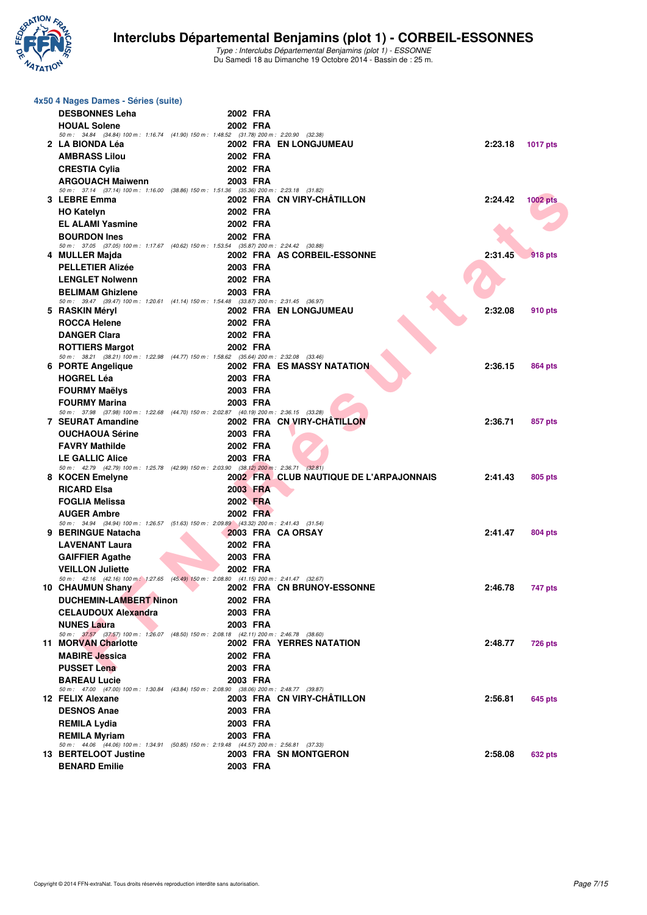

|  | 4x50 4 Nages Dames - Séries (suite)                                                                                    |                      |                                         |         |                 |
|--|------------------------------------------------------------------------------------------------------------------------|----------------------|-----------------------------------------|---------|-----------------|
|  | <b>DESBONNES Leha</b>                                                                                                  | 2002 FRA             |                                         |         |                 |
|  | <b>HOUAL Solene</b>                                                                                                    | 2002 FRA             |                                         |         |                 |
|  | 50 m: 34.84 (34.84) 100 m: 1:16.74 (41.90) 150 m: 1:48.52 (31.78) 200 m: 2:20.90 (32.38)<br>2 LA BIONDA Léa            |                      | 2002 FRA EN LONGJUMEAU                  | 2:23.18 | <b>1017 pts</b> |
|  | <b>AMBRASS Lilou</b>                                                                                                   | 2002 FRA             |                                         |         |                 |
|  | <b>CRESTIA Cylia</b>                                                                                                   | 2002 FRA             |                                         |         |                 |
|  | <b>ARGOUACH Maiwenn</b>                                                                                                | 2003 FRA             |                                         |         |                 |
|  | 50 m: 37.14 (37.14) 100 m: 1:16.00 (38.86) 150 m: 1:51.36 (35.36) 200 m: 2:23.18 (31.82)                               |                      |                                         |         |                 |
|  | 3 LEBRE Emma                                                                                                           |                      | 2002 FRA CN VIRY-CHÂTILLON              | 2:24.42 | <b>1002 pts</b> |
|  | <b>HO Katelyn</b>                                                                                                      | 2002 FRA             |                                         |         |                 |
|  | <b>EL ALAMI Yasmine</b><br><b>BOURDON Ines</b>                                                                         | 2002 FRA<br>2002 FRA |                                         |         |                 |
|  | 50 m: 37.05 (37.05) 100 m: 1:17.67 (40.62) 150 m: 1:53.54 (35.87) 200 m: 2:24.42 (30.88)                               |                      |                                         |         |                 |
|  | 4 MULLER Majda                                                                                                         |                      | 2002 FRA AS CORBEIL-ESSONNE             | 2:31.45 | <b>918</b> pts  |
|  | <b>PELLETIER Alizée</b>                                                                                                | 2003 FRA             |                                         |         |                 |
|  | <b>LENGLET Nolwenn</b>                                                                                                 | 2002 FRA             |                                         |         |                 |
|  | <b>BELIMAM Ghizlene</b>                                                                                                | 2003 FRA             |                                         |         |                 |
|  | 50 m: 39.47 (39.47) 100 m: 1:20.61 (41.14) 150 m: 1:54.48 (33.87) 200 m: 2:31.45 (36.97)<br>5 RASKIN Méryl             |                      | 2002 FRA EN LONGJUMEAU                  | 2:32.08 | 910 pts         |
|  | <b>ROCCA Helene</b>                                                                                                    | 2002 FRA             |                                         |         |                 |
|  | <b>DANGER Clara</b>                                                                                                    | 2002 FRA             |                                         |         |                 |
|  | <b>ROTTIERS Margot</b>                                                                                                 | 2002 FRA             |                                         |         |                 |
|  | 50 m: 38.21 (38.21) 100 m: 1:22.98 (44.77) 150 m: 1:58.62 (35.64) 200 m: 2:32.08 (33.46)                               |                      |                                         |         |                 |
|  | 6 PORTE Angelique                                                                                                      |                      | <b>2002 FRA ES MASSY NATATION</b>       | 2:36.15 | 864 pts         |
|  | <b>HOGREL Léa</b><br><b>FOURMY Maëlys</b>                                                                              | 2003 FRA<br>2003 FRA |                                         |         |                 |
|  | <b>FOURMY Marina</b>                                                                                                   | 2003 FRA             |                                         |         |                 |
|  | 50 m: 37.98 (37.98) 100 m: 1:22.68 (44.70) 150 m: 2:02.87 (40.19) 200 m: 2:36.15 (33.28)                               |                      |                                         |         |                 |
|  | <b>7 SEURAT Amandine</b>                                                                                               |                      | 2002 FRA CN VIRY-CHATILLON              | 2:36.71 | 857 pts         |
|  | <b>OUCHAOUA Sérine</b>                                                                                                 | 2003 FRA             |                                         |         |                 |
|  | <b>FAVRY Mathilde</b>                                                                                                  | 2002 FRA             |                                         |         |                 |
|  | <b>LE GALLIC Alice</b><br>50 m : 42.79 (42.79) 100 m : 1:25.78 (42.99) 150 m : 2:03.90 (38.12) 200 m : 2:36.71 (32.81) | 2003 FRA             |                                         |         |                 |
|  | 8 KOCEN Emelyne                                                                                                        |                      | 2002 FRA CLUB NAUTIQUE DE L'ARPAJONNAIS | 2:41.43 | 805 pts         |
|  | <b>RICARD Elsa</b>                                                                                                     | 2003 FRA             |                                         |         |                 |
|  | <b>FOGLIA Melissa</b>                                                                                                  | 2002 FRA             |                                         |         |                 |
|  | <b>AUGER Ambre</b>                                                                                                     | 2002 FRA             |                                         |         |                 |
|  | 50 m: 34.94 (34.94) 100 m: 1:26.57 (51.63) 150 m: 2:09.89 (43.32) 200 m: 2:41.43 (31.54)<br>9 BERINGUE Natacha         |                      | 2003 FRA CA ORSAY                       | 2:41.47 | 804 pts         |
|  | <b>LAVENANT Laura</b>                                                                                                  | 2002 FRA             |                                         |         |                 |
|  | <b>GAIFFIER Agathe</b>                                                                                                 | 2003 FRA             |                                         |         |                 |
|  | <b>VEILLON Juliette</b>                                                                                                | 2002 FRA             |                                         |         |                 |
|  | 50 m : 42.16 (42.16) 100 m : 1:27.65 (45.49) 150 m : 2:08.80 (41.15) 200 m : 2:41.47 (32.67)                           |                      |                                         |         |                 |
|  | 10 CHAUMUN Shany                                                                                                       |                      | 2002 FRA CN BRUNOY-ESSONNE              | 2:46.78 | 747 pts         |
|  | <b>DUCHEMIN-LAMBERT Ninon</b>                                                                                          | 2002 FRA             |                                         |         |                 |
|  | <b>CELAUDOUX Alexandra</b>                                                                                             | 2003 FRA             |                                         |         |                 |
|  | <b>NUNES Laura</b><br>50 m: 37.57 (37.57) 100 m: 1:26.07 (48.50) 150 m: 2:08.18 (42.11) 200 m: 2:46.78 (38.60)         | 2003 FRA             |                                         |         |                 |
|  | 11 MORVAN Charlotte                                                                                                    |                      | <b>2002 FRA YERRES NATATION</b>         | 2:48.77 | <b>726 pts</b>  |
|  | <b>MABIRE Jessica</b>                                                                                                  | 2002 FRA             |                                         |         |                 |
|  | <b>PUSSET Lena</b>                                                                                                     | 2003 FRA             |                                         |         |                 |
|  | <b>BAREAU Lucie</b>                                                                                                    | 2003 FRA             |                                         |         |                 |
|  | 50 m: 47.00 (47.00) 100 m: 1:30.84 (43.84) 150 m: 2:08.90 (38.06) 200 m: 2:48.77 (39.87)<br>12 FELIX Alexane           |                      | 2003 FRA CN VIRY-CHATILLON              | 2:56.81 | 645 pts         |
|  | <b>DESNOS Anae</b>                                                                                                     | 2003 FRA             |                                         |         |                 |
|  | REMILA Lydia                                                                                                           | 2003 FRA             |                                         |         |                 |
|  | <b>REMILA Myriam</b>                                                                                                   | 2003 FRA             |                                         |         |                 |
|  | 50 m: 44.06 (44.06) 100 m: 1:34.91 (50.85) 150 m: 2:19.48 (44.57) 200 m: 2:56.81 (37.33)                               |                      |                                         |         |                 |
|  | 13 BERTELOOT Justine                                                                                                   |                      | 2003 FRA SN MONTGERON                   | 2:58.08 | <b>632 pts</b>  |
|  | <b>BENARD Emilie</b>                                                                                                   | 2003 FRA             |                                         |         |                 |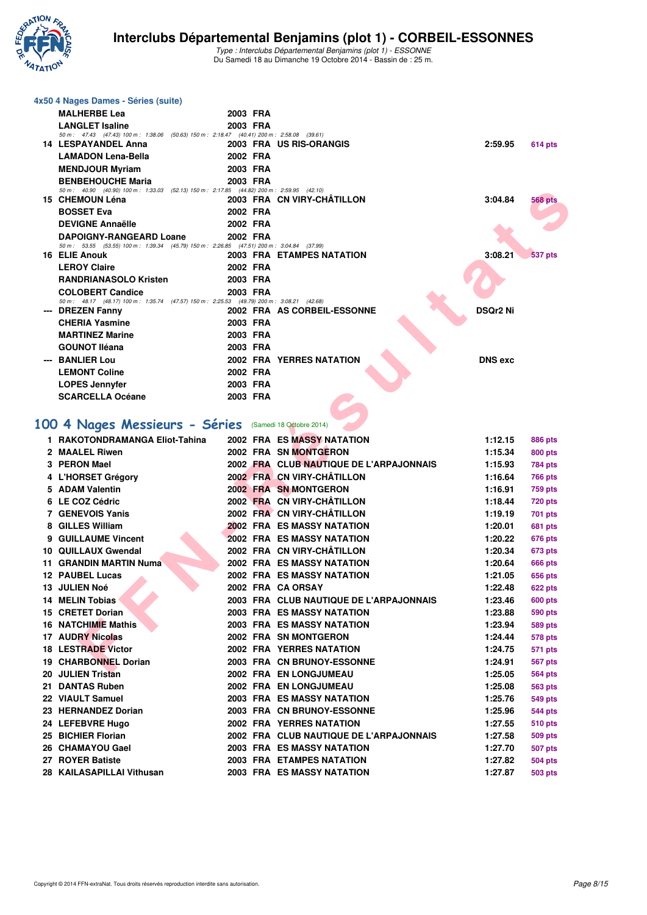

| 4x50 4 Nages Dames - Séries (suite)                                                                                  |          |                                                         |                    |                |
|----------------------------------------------------------------------------------------------------------------------|----------|---------------------------------------------------------|--------------------|----------------|
| <b>MALHERBE Lea</b>                                                                                                  | 2003 FRA |                                                         |                    |                |
| <b>LANGLET Isaline</b>                                                                                               | 2003 FRA |                                                         |                    |                |
| 50 m: 47.43 (47.43) 100 m: 1:38.06 (50.63) 150 m: 2:18.47 (40.41) 200 m: 2:58.08 (39.61)                             |          |                                                         |                    |                |
| <b>14 LESPAYANDEL Anna</b>                                                                                           |          | 2003 FRA US RIS-ORANGIS                                 | 2:59.95            | 614 pts        |
| <b>LAMADON Lena-Bella</b>                                                                                            | 2002 FRA |                                                         |                    |                |
| <b>MENDJOUR Myriam</b>                                                                                               | 2003 FRA |                                                         |                    |                |
| <b>BENBEHOUCHE Maria</b><br>50 m: 40.90 (40.90) 100 m: 1:33.03 (52.13) 150 m: 2:17.85 (44.82) 200 m: 2:59.95 (42.10) | 2003 FRA |                                                         |                    |                |
| 15 CHEMOUN Léna                                                                                                      |          | 2003 FRA CN VIRY-CHATILLON                              | 3:04.84            | <b>568 pts</b> |
| <b>BOSSET Eva</b>                                                                                                    | 2002 FRA |                                                         |                    |                |
| <b>DEVIGNE Annaëlle</b>                                                                                              | 2002 FRA |                                                         |                    |                |
| <b>DAPOIGNY-RANGEARD Loane</b>                                                                                       | 2002 FRA |                                                         |                    |                |
| 50 m: 53.55 (53.55) 100 m: 1:39.34 (45.79) 150 m: 2:26.85 (47.51) 200 m: 3:04.84 (37.99)                             |          |                                                         |                    |                |
| 16 ELIE Anouk                                                                                                        |          | <b>2003 FRA ETAMPES NATATION</b>                        | 3:08.21            | <b>537 pts</b> |
| <b>LEROY Claire</b>                                                                                                  | 2002 FRA |                                                         |                    |                |
| <b>RANDRIANASOLO Kristen</b>                                                                                         | 2003 FRA |                                                         |                    |                |
| <b>COLOBERT Candice</b>                                                                                              | 2003 FRA |                                                         |                    |                |
| 50 m: 48.17 (48.17) 100 m: 1:35.74 (47.57) 150 m: 2:25.53 (49.79) 200 m: 3:08.21 (42.68)<br>--- DREZEN Fanny         |          | 2002 FRA AS CORBEIL-ESSONNE                             | <b>DSQr2 Ni</b>    |                |
| <b>CHERIA Yasmine</b>                                                                                                | 2003 FRA |                                                         |                    |                |
| <b>MARTINEZ Marine</b>                                                                                               | 2003 FRA |                                                         |                    |                |
| <b>GOUNOT Iléana</b>                                                                                                 | 2003 FRA |                                                         |                    |                |
| --- BANLIER Lou                                                                                                      |          | <b>2002 FRA YERRES NATATION</b>                         | <b>DNS</b> exc     |                |
| <b>LEMONT Coline</b>                                                                                                 | 2002 FRA |                                                         |                    |                |
|                                                                                                                      |          |                                                         |                    |                |
| <b>LOPES Jennyfer</b>                                                                                                | 2003 FRA |                                                         |                    |                |
| <b>SCARCELLA Océane</b>                                                                                              | 2003 FRA |                                                         |                    |                |
|                                                                                                                      |          |                                                         |                    |                |
| 100 4 Nages Messieurs - Séries (Samedi 18 Octobre 2014)                                                              |          |                                                         |                    |                |
| 1 RAKOTONDRAMANGA Eliot-Tahina                                                                                       |          | <b>2002 FRA ES MASSY NATATION</b>                       | 1:12.15            | 886 pts        |
| 2 MAALEL Riwen                                                                                                       |          | 2002 FRA SN MONTGERON                                   | 1:15.34            | 800 pts        |
| 3 PERON Mael                                                                                                         |          | 2002 FRA CLUB NAUTIQUE DE L'ARPAJONNAIS                 | 1:15.93            | <b>784 pts</b> |
| 4 L'HORSET Grégory                                                                                                   |          | 2002 FRA CN VIRY-CHÂTILLON                              | 1:16.64            | 766 pts        |
| 5 ADAM Valentin                                                                                                      |          | 2002 FRA SN MONTGERON                                   | 1:16.91            | <b>759 pts</b> |
| 6 LE COZ Cédric                                                                                                      |          | 2002 FRA CN VIRY-CHÂTILLON                              | 1:18.44            | <b>720 pts</b> |
| 7 GENEVOIS Yanis                                                                                                     |          | 2002 FRA CN VIRY-CHÂTILLON                              | 1:19.19            | 701 pts        |
| 8 GILLES William                                                                                                     |          | <b>2002 FRA ES MASSY NATATION</b>                       | 1:20.01            | 681 pts        |
| 9 GUILLAUME Vincent                                                                                                  |          | <b>2002 FRA ES MASSY NATATION</b>                       | 1:20.22            | 676 pts        |
| 10 QUILLAUX Gwendal                                                                                                  |          | 2002 FRA CN VIRY-CHÂTILLON                              | 1:20.34            | 673 pts        |
| 11 GRANDIN MARTIN Numa                                                                                               |          | <b>2002 FRA ES MASSY NATATION</b>                       | 1:20.64            | <b>666 pts</b> |
| 12 PAUBEL Lucas                                                                                                      |          | <b>2002 FRA ES MASSY NATATION</b>                       | 1:21.05            | <b>656 pts</b> |
| 13 JULIEN Noé                                                                                                        |          | 2002 FRA CA ORSAY                                       | 1:22.48            | 622 pts        |
| 14 MELIN Tobias                                                                                                      |          | 2003 FRA CLUB NAUTIQUE DE L'ARPAJONNAIS                 | 1:23.46            | 600 pts        |
| 15 CRETET Dorian                                                                                                     |          | 2003 FRA ES MASSY NATATION                              | 1:23.88            | <b>590 pts</b> |
|                                                                                                                      |          |                                                         |                    |                |
| <b>16 NATCHIMIE Mathis</b>                                                                                           |          | 2003 FRA ES MASSY NATATION                              | 1:23.94            | <b>589 pts</b> |
| <b>17 AUDRY Nicolas</b>                                                                                              |          | 2002 FRA SN MONTGERON                                   | 1:24.44            | 578 pts        |
| <b>18 LESTRADE Victor</b>                                                                                            |          | <b>2002 FRA YERRES NATATION</b>                         | 1:24.75            | 571 pts        |
| 19 CHARBONNEL Dorian<br>00 HULIEN Triatan                                                                            |          | 2003 FRA CN BRUNOY-ESSONNE<br>0000 EDA ENTIONO ILIMEALL | 1:24.91<br>1.05.05 | 567 pts        |
|                                                                                                                      |          |                                                         |                    |                |

**19 CHARBONNEL Dorian 2003 FRA CN BRUNOY-ESSONNE 1:24.91 567 pts 20 JULIEN Tristan 2002 FRA EN LONGJUMEAU 1:25.05 564 pts 21 DANTAS Ruben 2002 FRA EN LONGJUMEAU 1:25.08 563 pts 22 VIAULT Samuel 2003 FRA ES MASSY NATATION 1:25.76 549 pts 23 HERNANDEZ Dorian 2003 FRA CN BRUNOY-ESSONNE 1:25.96 544 pts 24 LEFEBVRE Hugo 2002 FRA YERRES NATATION 1:27.55 510 pts 25 BICHIER Florian 2002 FRA CLUB NAUTIQUE DE L'ARPAJONNAIS 1:27.58 509 pts 26 CHAMAYOU Gael 2003 FRA ES MASSY NATATION 1:27.70 507 pts 27 ROYER Batiste 2003 FRA ETAMPES NATATION 1:27.82 504 pts 28 KAILASAPILLAI Vithusan 2003 FRA ES MASSY NATATION 1:27.87 503 pts**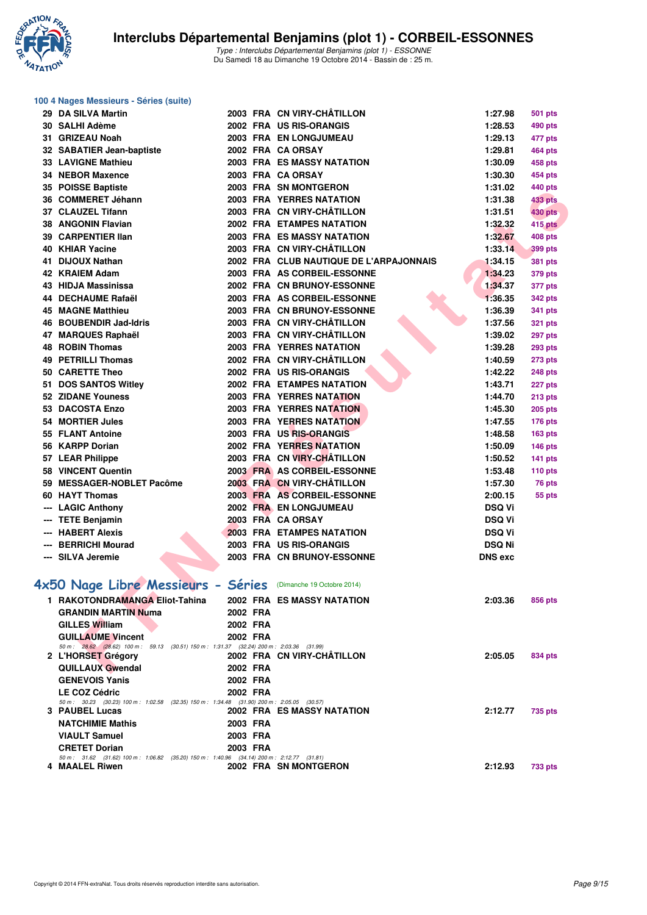

| 100 4 Nages Messieurs - Séries (suite)                                                                             |          |                                         |                |                |
|--------------------------------------------------------------------------------------------------------------------|----------|-----------------------------------------|----------------|----------------|
| 29 DA SILVA Martin                                                                                                 |          | 2003 FRA CN VIRY-CHÂTILLON              | 1:27.98        | <b>501 pts</b> |
| 30 SALHI Adème                                                                                                     |          | 2002 FRA US RIS-ORANGIS                 | 1:28.53        | 490 pts        |
| 31 GRIZEAU Noah                                                                                                    |          | 2003 FRA EN LONGJUMEAU                  | 1:29.13        | 477 pts        |
| 32 SABATIER Jean-baptiste                                                                                          |          | 2002 FRA CA ORSAY                       | 1:29.81        | 464 pts        |
| <b>33 LAVIGNE Mathieu</b>                                                                                          |          | <b>2003 FRA ES MASSY NATATION</b>       | 1:30.09        | 458 pts        |
| 34 NEBOR Maxence                                                                                                   |          | 2003 FRA CA ORSAY                       | 1:30.30        | 454 pts        |
| 35 POISSE Baptiste                                                                                                 |          | 2003 FRA SN MONTGERON                   | 1:31.02        | 440 pts        |
| 36 COMMERET Jéhann                                                                                                 |          | <b>2003 FRA YERRES NATATION</b>         | 1:31.38        | <b>433 pts</b> |
| 37 CLAUZEL Tifann                                                                                                  |          | 2003 FRA CN VIRY-CHÂTILLON              | 1:31.51        | <b>430 pts</b> |
| 38 ANGONIN Flavian                                                                                                 |          | 2002 FRA ETAMPES NATATION               | 1:32.32        | <b>415 pts</b> |
| 39 CARPENTIER IIan                                                                                                 |          | <b>2003 FRA ES MASSY NATATION</b>       | 1:32.67        | <b>408 pts</b> |
| 40 KHIAR Yacine                                                                                                    |          | 2003 FRA CN VIRY-CHÂTILLON              | 1:33.14        | 399 pts        |
| 41 DIJOUX Nathan                                                                                                   |          | 2002 FRA CLUB NAUTIQUE DE L'ARPAJONNAIS | 1:34.15        | <b>381 pts</b> |
| 42 KRAIEM Adam                                                                                                     |          | 2003 FRA AS CORBEIL-ESSONNE             | 1:34.23        | <b>379 pts</b> |
| 43 HIDJA Massinissa                                                                                                |          | 2002 FRA CN BRUNOY-ESSONNE              | 1:34.37        | 377 pts        |
| 44 DECHAUME Rafaël                                                                                                 |          | 2003 FRA AS CORBEIL-ESSONNE             | 1:36.35        | <b>342 pts</b> |
| <b>45 MAGNE Matthieu</b>                                                                                           |          | 2003 FRA CN BRUNOY-ESSONNE              | 1:36.39        | 341 pts        |
| 46 BOUBENDIR Jad-Idris                                                                                             |          | 2003 FRA CN VIRY-CHÂTILLON              | 1:37.56        | <b>321 pts</b> |
| 47 MARQUES Raphaël                                                                                                 |          | 2003 FRA CN VIRY-CHÂTILLON              | 1:39.02        | 297 pts        |
| <b>48 ROBIN Thomas</b>                                                                                             |          | <b>2003 FRA YERRES NATATION</b>         | 1:39.28        | <b>293 pts</b> |
| 49 PETRILLI Thomas                                                                                                 |          | 2002 FRA CN VIRY-CHÂTILLON              | 1:40.59        | <b>273 pts</b> |
| 50 CARETTE Theo                                                                                                    |          | 2002 FRA US RIS-ORANGIS                 | 1:42.22        | 248 pts        |
| 51 DOS SANTOS Witley                                                                                               |          | 2002 FRA ETAMPES NATATION               | 1:43.71        | 227 pts        |
| 52 ZIDANE Youness                                                                                                  |          | 2003 FRA YERRES NATATION                | 1:44.70        | 213 pts        |
| 53 DACOSTA Enzo                                                                                                    |          | <b>2003 FRA YERRES NATATION</b>         | 1:45.30        | <b>205 pts</b> |
| 54 MORTIER Jules                                                                                                   |          | <b>2003 FRA YERRES NATATION</b>         | 1:47.55        |                |
| 55 FLANT Antoine                                                                                                   |          | 2003 FRA US RIS-ORANGIS                 |                | <b>176 pts</b> |
| 56 KARPP Dorian                                                                                                    |          | <b>2002 FRA YERRES NATATION</b>         | 1:48.58        | <b>163 pts</b> |
|                                                                                                                    |          | 2003 FRA CN VIRY-CHÂTILLON              | 1:50.09        | <b>146 pts</b> |
| 57 LEAR Philippe                                                                                                   |          | 2003 FRA AS CORBEIL-ESSONNE             | 1:50.52        | 141 pts        |
| 58 VINCENT Quentin                                                                                                 |          |                                         | 1:53.48        | $110$ pts      |
| 59 MESSAGER-NOBLET Pacôme                                                                                          |          | 2003 FRA CN VIRY-CHÂTILLON              | 1:57.30        | 76 pts         |
| 60 HAYT Thomas                                                                                                     |          | 2003 FRA AS CORBEIL-ESSONNE             | 2:00.15        | 55 pts         |
| --- LAGIC Anthony                                                                                                  |          | 2002 FRA EN LONGJUMEAU                  | <b>DSQ Vi</b>  |                |
| --- TETE Benjamin                                                                                                  |          | 2003 FRĀ CA ORSAY                       | <b>DSQ Vi</b>  |                |
| --- HABERT Alexis                                                                                                  |          | <b>2003 FRA ETAMPES NATATION</b>        | <b>DSQ Vi</b>  |                |
| --- BERRICHI Mourad                                                                                                |          | 2003 FRA US RIS-ORANGIS                 | <b>DSQ Ni</b>  |                |
| --- SILVA Jeremie                                                                                                  |          | 2003 FRA CN BRUNOY-ESSONNE              | <b>DNS</b> exc |                |
| 4x50 Nage Libre Messieurs - Séries (Dimanche 19 Octobre 2014)                                                      |          |                                         |                |                |
| 1 RAKOTONDRAMANGA Eliot-Tahina                                                                                     |          | <b>2002 FRA ES MASSY NATATION</b>       | 2:03.36        |                |
| <b>GRANDIN MARTIN Numa</b>                                                                                         |          |                                         |                | 856 pts        |
|                                                                                                                    | 2002 FRA |                                         |                |                |
| <b>GILLES William</b>                                                                                              | 2002 FRA |                                         |                |                |
| <b>GUILLAUME Vincent</b><br>50 m: 28.62 (28.62) 100 m: 59.13 (30.51) 150 m: 1.31.37 (32.24) 200 m: 2.03.36 (31.99) | 2002 FRA |                                         |                |                |
| 2 L'HORSET Grégory                                                                                                 |          | 2002 FRA CN VIRY-CHÂTILLON              | 2:05.05        | 834 pts        |
| <b>QUILLAUX Gwendal</b>                                                                                            | 2002 FRA |                                         |                |                |
| <b>GENEVOIS Yanis</b>                                                                                              | 2002 FRA |                                         |                |                |
| <b>LE COZ Cédric</b>                                                                                               | 2002 FRA |                                         |                |                |
| 50 m: 30.23 (30.23) 100 m: 1:02.58 (32.35) 150 m: 1:34.48 (31.90) 200 m: 2:05.05 (30.57)                           |          |                                         |                |                |
| 3 PAUBEL Lucas                                                                                                     |          | 2002 FRA ES MASSY NATATION              | 2:12.77        | 735 pts        |
| <b>NATCHIMIE Mathis</b>                                                                                            | 2003 FRA |                                         |                |                |
| <b>VIAULT Samuel</b>                                                                                               | 2003 FRA |                                         |                |                |
| <b>CRETET Dorian</b><br>50 m: 31.62 (31.62) 100 m: 1:06.82 (35.20) 150 m: 1:40.96 (34.14) 200 m: 2:12.77 (31.81)   | 2003 FRA |                                         |                |                |
| 4 MAALEL Riwen                                                                                                     |          | 2002 FRA SN MONTGERON                   | 2:12.93        | 733 pts        |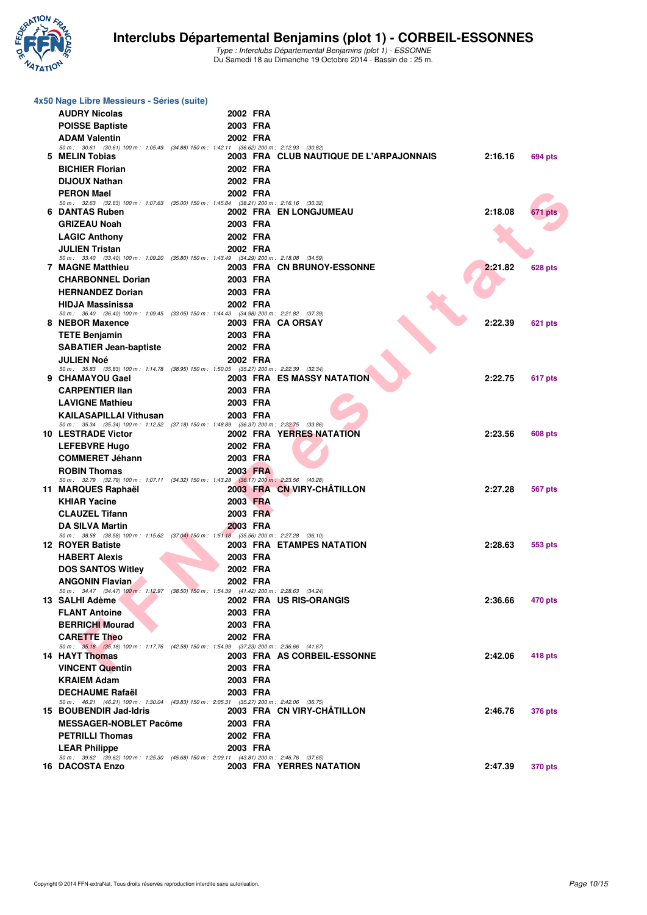

| 4x50 Nage Libre Messieurs - Séries (suite)                                                                            |                      |                                         |         |                |
|-----------------------------------------------------------------------------------------------------------------------|----------------------|-----------------------------------------|---------|----------------|
| <b>AUDRY Nicolas</b>                                                                                                  | 2002 FRA             |                                         |         |                |
| <b>POISSE Baptiste</b>                                                                                                | 2003 FRA             |                                         |         |                |
| <b>ADAM Valentin</b>                                                                                                  | 2002 FRA             |                                         |         |                |
| 50 m: 30.61 (30.61) 100 m: 1:05.49 (34.88) 150 m: 1:42.11 (36.62) 200 m: 2:12.93 (30.82)<br>5 MELIN Tobias            |                      | 2003 FRA CLUB NAUTIQUE DE L'ARPAJONNAIS | 2:16.16 | 694 pts        |
| <b>BICHIER Florian</b>                                                                                                | 2002 FRA             |                                         |         |                |
| <b>DIJOUX Nathan</b>                                                                                                  | 2002 FRA             |                                         |         |                |
| <b>PERON Mael</b>                                                                                                     | 2002 FRA             |                                         |         |                |
| 50 m: 32.63 (32.63) 100 m: 1:07.63 (35.00) 150 m: 1:45.84 (38.21) 200 m: 2:16.16 (30.32)                              |                      |                                         |         |                |
| 6 DANTAS Ruben                                                                                                        |                      | 2002 FRA EN LONGJUMEAU                  | 2:18.08 | 671 pts        |
| <b>GRIZEAU Noah</b>                                                                                                   | 2003 FRA             |                                         |         |                |
| <b>LAGIC Anthony</b>                                                                                                  | 2002 FRA             |                                         |         |                |
| <b>JULIEN Tristan</b><br>50 m: 33.40 (33.40) 100 m: 1:09.20 (35.80) 150 m: 1:43.49 (34.29) 200 m: 2:18.08 (34.59)     | 2002 FRA             |                                         |         |                |
| <b>7 MAGNE Matthieu</b>                                                                                               |                      | 2003 FRA CN BRUNOY-ESSONNE              | 2:21.82 | 628 pts        |
| <b>CHARBONNEL Dorian</b>                                                                                              | 2003 FRA             |                                         |         |                |
| <b>HERNANDEZ Dorian</b>                                                                                               | 2003 FRA             |                                         |         |                |
| <b>HIDJA Massinissa</b>                                                                                               | 2002 FRA             |                                         |         |                |
| 50 m: 36.40 (36.40) 100 m: 1:09.45 (33.05) 150 m: 1:44.43 (34.98) 200 m: 2:21.82 (37.39)                              |                      |                                         |         |                |
| 8 NEBOR Maxence                                                                                                       |                      | 2003 FRA CA ORSAY                       | 2:22.39 | 621 pts        |
| <b>TETE Benjamin</b>                                                                                                  | 2003 FRA<br>2002 FRA |                                         |         |                |
| <b>SABATIER Jean-baptiste</b><br><b>JULIEN Noé</b>                                                                    | 2002 FRA             |                                         |         |                |
| 50 m: 35.83 (35.83) 100 m: 1:14.78 (38.95) 150 m: 1:50.05 (35.27) 200 m: 2:22.39 (32.34)                              |                      |                                         |         |                |
| 9 CHAMAYOU Gael                                                                                                       |                      | 2003 FRA ES MASSY NATATION              | 2:22.75 | 617 pts        |
| <b>CARPENTIER IIan</b>                                                                                                | 2003 FRA             |                                         |         |                |
| <b>LAVIGNE Mathieu</b>                                                                                                | 2003 FRA             |                                         |         |                |
| <b>KAILASAPILLAI Vithusan</b>                                                                                         | 2003 FRA             |                                         |         |                |
| 50 m: 35.34 (35.34) 100 m: 1:12.52 (37.18) 150 m: 1:48.89 (36.37) 200 m: 2:22.75 (33.86)<br><b>10 LESTRADE Victor</b> |                      | 2002 FRA YERRES NATATION                | 2:23.56 | 608 pts        |
| <b>LEFEBVRE Hugo</b>                                                                                                  | 2002 FRA             |                                         |         |                |
| <b>COMMERET Jéhann</b>                                                                                                | 2003 FRA             |                                         |         |                |
| <b>ROBIN Thomas</b>                                                                                                   | 2003 FRA             |                                         |         |                |
| 50 m: 32.79 (32.79) 100 m: 1:07.11 (34.32) 150 m: 1:43.28 (36.17) 200 m: 2:23.56 (40.28)                              |                      |                                         |         |                |
| 11 MARQUES Raphaël                                                                                                    |                      | 2003 FRA CN VIRY-CHATILLON              | 2:27.28 | 567 pts        |
| <b>KHIAR Yacine</b>                                                                                                   | 2003 FRA             |                                         |         |                |
| <b>CLAUZEL Tifann</b>                                                                                                 | 2003 FRA             |                                         |         |                |
| <b>DA SILVA Martin</b><br>50 m: 38.58 (38.58) 100 m: 1:15.62 (37.04) 150 m: 1:51.18 (35.56) 200 m: 2:27.28 (36.10)    | 2003 FRA             |                                         |         |                |
| <b>12 ROYER Batiste</b>                                                                                               |                      | 2003 FRA ETAMPES NATATION               | 2:28.63 | 553 pts        |
| <b>HABERT Alexis</b>                                                                                                  | 2003 FRA             |                                         |         |                |
| <b>DOS SANTOS Witley</b>                                                                                              | 2002 FRA             |                                         |         |                |
| <b>ANGONIN Flavian</b>                                                                                                | 2002 FRA             |                                         |         |                |
| 50 m: 34.47 (34.47) 100 m: 1:12.97 (38.50) 150 m: 1:54.39 (41.42) 200 m: 2:28.63 (34.24)                              |                      |                                         |         |                |
| 13 SALHI Adème                                                                                                        |                      | 2002 FRA US RIS-ORANGIS                 | 2:36.66 | 470 pts        |
| <b>FLANT Antoine</b>                                                                                                  | 2003 FRA             |                                         |         |                |
| <b>BERRICHI Mourad</b><br><b>CARETTE Theo</b>                                                                         | 2003 FRA             |                                         |         |                |
| 50 m: 35.18 (35.18) 100 m: 1:17.76 (42.58) 150 m: 1:54.99 (37.23) 200 m: 2:36.66 (41.67)                              | 2002 FRA             |                                         |         |                |
| 14 HAYT Thomas                                                                                                        |                      | 2003 FRA AS CORBEIL-ESSONNE             | 2:42.06 | 418 pts        |
| <b>VINCENT Quentin</b>                                                                                                | 2003 FRA             |                                         |         |                |
| <b>KRAIEM Adam</b>                                                                                                    | 2003 FRA             |                                         |         |                |
| <b>DECHAUME Rafaël</b>                                                                                                | 2003 FRA             |                                         |         |                |
| 50 m: 46.21 (46.21) 100 m: 1:30.04 (43.83) 150 m: 2:05.31 (35.27) 200 m: 2:42.06 (36.75)<br>15 BOUBENDIR Jad-Idris    |                      | 2003 FRA CN VIRY-CHATILLON              | 2:46.76 |                |
| <b>MESSAGER-NOBLET Pacôme</b>                                                                                         | 2003 FRA             |                                         |         | <b>376 pts</b> |
| <b>PETRILLI Thomas</b>                                                                                                | 2002 FRA             |                                         |         |                |
| <b>LEAR Philippe</b>                                                                                                  | 2003 FRA             |                                         |         |                |
| 50 m: 39.62 (39.62) 100 m: 1:25.30 (45.68) 150 m: 2:09.11 (43.81) 200 m: 2:46.76 (37.65)                              |                      |                                         |         |                |
| 16 DACOSTA Enzo                                                                                                       |                      | 2003 FRA YERRES NATATION                | 2:47.39 | <b>370 pts</b> |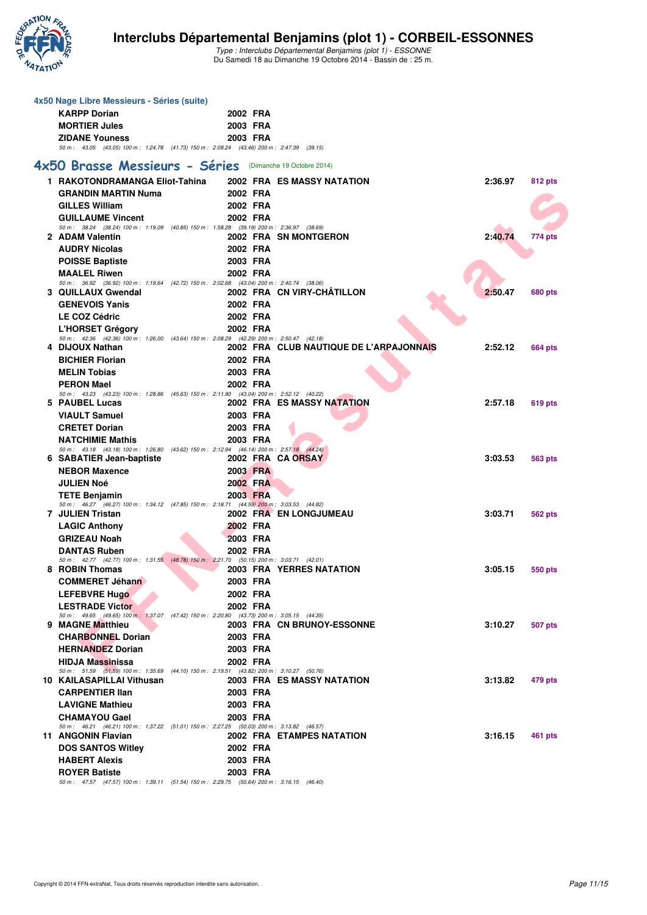

**4x50 Nage Libre Messieurs - Séries (suite)**

**KARPP Dorian 2002 FRA**

Type : Interclubs Départemental Benjamins (plot 1) - ESSONNE Du Samedi 18 au Dimanche 19 Octobre 2014 - Bassin de : 25 m.

#### **F F N - R é s un literat Maria (m. 1988)**<br> **F F N - R é s un literat de la trava de la trava de la trava de la trava de la trava de la trava de la trava de la trava de la trava de la trava de la trava de la trava de la tr MORTIER Jules 2003 FRA ZIDANE Youness 2003 FRA** 50 m : 43.05 (43.05) 100 m : 1:24.78 (41.73) 150 m : 2:08.24 (43.46) 200 m : 2:47.39 (39.15) **[4x50 Brasse Messieurs - Séries](http://www.ffnatation.fr/webffn/resultats.php?idact=nat&go=epr&idcpt=25189&idepr=171)** (Dimanche 19 Octobre 2014) **1 RAKOTONDRAMANGA Eliot-Tahina 2002 FRA ES MASSY NATATION 2:36.97 812 pts GRANDIN MARTIN Numa 2002 FRA GILLES William 2002 FRA GUILLAUME Vincent 2002 FRA** 50 m : 38.24 (38.24) 100 m : 1:19.09 (40.85) 150 m : 1:58.28 (39.19) 200 m : 2:36.97 (38.69) **2 ADAM Valentin 2002 FRA SN MONTGERON 2:40.74 774 pts AUDRY Nicolas 2002 FRA POISSE Baptiste 2003 FRA MAALEL Riwen 2002 FRA** 50 m : 36.92 (36.92) 100 m : 1:19.64 (42.72) 150 m : 2:02.68 (43.04) 200 m : 2:40.74 (38.06) **3 QUILLAUX Gwendal 2002 FRA CN VIRY-CHÂTILLON 2:50.47 680 pts GENEVOIS Yanis 2002 FRA LE COZ Cédric 2002 FRA L'HORSET Grégory 2002 FRA** 50 m : 42.36 (42.36) 100 m : 1:26.00 (43.64) 150 m : 2:08.29 (42.29) 200 m : 2:50.47 (42.18) **4 DIJOUX Nathan 2002 FRA CLUB NAUTIQUE DE L'ARPAJONNAIS 2:52.12 664 pts BICHIER Florian 2002 FRA MELIN Tobias 2003 FRA PERON Mael 2002 FRA** 50 m : 43.23 (43.23) 100 m : 1:28.86 (45.63) 150 m : 2:11.90 (43.04) 200 m : 2:52.12 (40.22) **5 PAUBEL Lucas 2002 FRA ES MASSY NATATION 2:57.18 619 pts VIAULT Samuel 2003 FRA CRETET Dorian 2003 FRA NATCHIMIE Mathis 2003 FRA** 50 m : 43.18 (43.18) 100 m : 1:26.80 (43.62) 150 m : 2:12.94 (46.14) 200 m : 2:57.18 (44.24) **6 SABATIER Jean-baptiste 2002 FRA CA ORSAY 3:03.53 563 pts NEBOR Maxence 2003 FRA JULIEN Noé 2002 FRA TETE Benjamin 2003 FRA** 50 m : 46.27 (46.27) 100 m : 1:34.12 (47.85) 150 m : 2:18.71 (44.59) 200 m : 3:03.53 (44.82) **7 JULIEN Tristan 2002 FRA EN LONGJUMEAU 3:03.71 562 pts LAGIC Anthony 2002 FRA GRIZEAU Noah 2003 FRA DANTAS Ruben 2002 FRA** 50 m : 42.77 (42.77) 100 m : 1:31.55 (48.78) 150 m : 2:21.70 (50.15) 200 m : 3:03.71 (42.01) **8 ROBIN Thomas 2003 FRA YERRES NATATION 3:05.15 550 pts COMMERET Jéhann 2003 FRA LEFEBVRE Hugo 2002 FRA LESTRADE Victor 2002 FRA** 50 m : 49.65 (49.65) 100 m : 1:37.07 (47.42) 150 m : 2:20.80 (43.73) 200 m : 3:05.15 (44.35) **9 MAGNE Matthieu 2003 FRA CN BRUNOY-ESSONNE 3:10.27 507 pts CHARBONNEL Dorian 2003 FRA HERNANDEZ Dorian 2003 FRA HIDJA Massinissa 2002 FRA** 50 m : 51.59 (51.59) 100 m : 1:35.69 (44.10) 150 m : 2:19.51 (43.82) 200 m : 3:10.27 (50.76) **10 KAILASAPILLAI Vithusan 2003 FRA ES MASSY NATATION 3:13.82 479 pts CARPENTIER Ilan 2003 FRA LAVIGNE Mathieu 2003 FRA CHAMAYOU Gael 2003 FRA** 50 m : 46.21 (46.21) 100 m : 1:37.22 (51.01) 150 m : 2:27.25 (50.03) 200 m : 3:13.82 (46.57) **11 ANGONIN Flavian 2002 FRA ETAMPES NATATION 3:16.15 461 pts DOS SANTOS Witley 2002 FRA HABERT Alexis 2003 FRA ROYER Batiste 2003 FRA**<br>50 m : 47.57 (47.57) 100 m : 1:39.11 (51.54) 150 m : 2:29.75 (50.64) 200 m : 3:16.15 (46.40)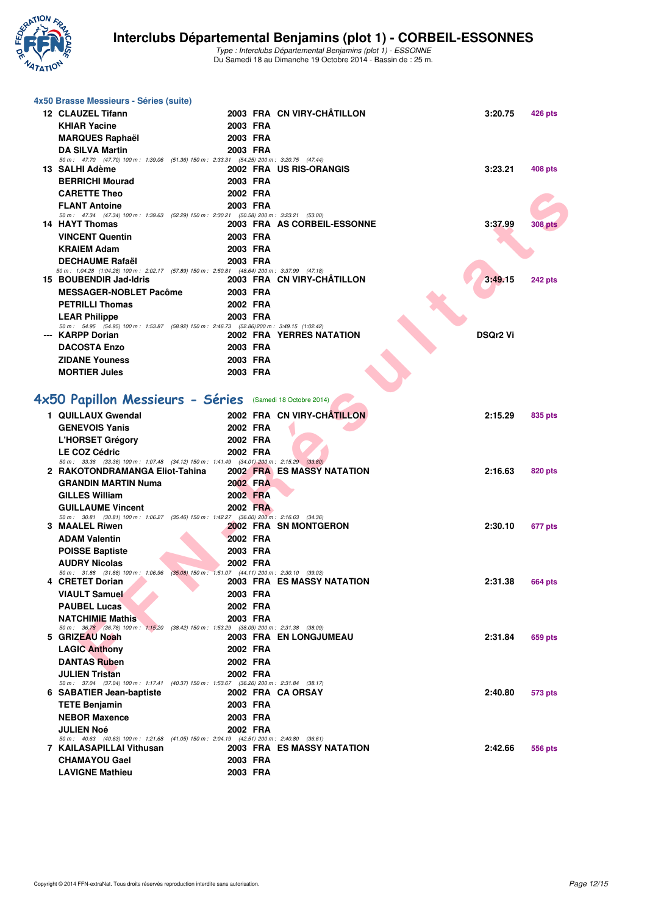

| 4x50 Brasse Messieurs - Séries (suite)                                                                                     |          |                                   |                 |                |
|----------------------------------------------------------------------------------------------------------------------------|----------|-----------------------------------|-----------------|----------------|
| 12 CLAUZEL Tifann                                                                                                          |          | 2003 FRA CN VIRY-CHÂTILLON        | 3:20.75         | 426 pts        |
| <b>KHIAR Yacine</b>                                                                                                        | 2003 FRA |                                   |                 |                |
| <b>MARQUES Raphaël</b>                                                                                                     | 2003 FRA |                                   |                 |                |
| <b>DA SILVA Martin</b>                                                                                                     | 2003 FRA |                                   |                 |                |
| 50 m: 47.70 (47.70) 100 m: 1:39.06 (51.36) 150 m: 2:33.31 (54.25) 200 m: 3:20.75 (47.44)                                   |          |                                   |                 |                |
| 13 SALHI Adème                                                                                                             |          | 2002 FRA US RIS-ORANGIS           | 3:23.21         | <b>408 pts</b> |
| <b>BERRICHI Mourad</b>                                                                                                     | 2003 FRA |                                   |                 |                |
| <b>CARETTE Theo</b>                                                                                                        | 2002 FRA |                                   |                 |                |
| <b>FLANT Antoine</b>                                                                                                       | 2003 FRA |                                   |                 |                |
| 50 m: 47.34 (47.34) 100 m: 1:39.63 (52.29) 150 m: 2:30.21 (50.58) 200 m: 3:23.21 (53.00)<br><b>14 HAYT Thomas</b>          |          | 2003 FRA AS CORBEIL-ESSONNE       | 3:37.99         | 308 pts        |
| <b>VINCENT Quentin</b>                                                                                                     | 2003 FRA |                                   |                 |                |
| <b>KRAIEM Adam</b>                                                                                                         | 2003 FRA |                                   |                 |                |
| <b>DECHAUME Rafaël</b>                                                                                                     | 2003 FRA |                                   |                 |                |
| 50 m : 1:04.28 (1:04.28) 100 m : 2:02.17 (57.89) 150 m : 2:50.81 (48.64) 200 m : 3:37.99 (47.18)                           |          |                                   |                 |                |
| 15 BOUBENDIR Jad-Idris                                                                                                     |          | 2003 FRA CN VIRY-CHATILLON        | 3:49.15         | 242 pts        |
| <b>MESSAGER-NOBLET Pacôme</b>                                                                                              | 2003 FRA |                                   |                 |                |
| <b>PETRILLI Thomas</b>                                                                                                     | 2002 FRA |                                   |                 |                |
| <b>LEAR Philippe</b>                                                                                                       | 2003 FRA |                                   |                 |                |
| 50 m: 54.95 (54.95) 100 m: 1:53.87 (58.92) 150 m: 2:46.73 (52.86) 200 m: 3:49.15 (1:02.42)<br>--- KARPP Dorian             |          | 2002 FRA YERRES NATATION          | <b>DSQr2 Vi</b> |                |
| <b>DACOSTA Enzo</b>                                                                                                        | 2003 FRA |                                   |                 |                |
| <b>ZIDANE Youness</b>                                                                                                      | 2003 FRA |                                   |                 |                |
| <b>MORTIER Jules</b>                                                                                                       | 2003 FRA |                                   |                 |                |
|                                                                                                                            |          |                                   |                 |                |
|                                                                                                                            |          |                                   |                 |                |
| 4x50 Papillon Messieurs - Séries (Samedi 18 Octobre 2014)                                                                  |          |                                   |                 |                |
| 1 QUILLAUX Gwendal                                                                                                         |          | 2002 FRA CN VIRY-CHÂTILLON        | 2:15.29         | 835 pts        |
| <b>GENEVOIS Yanis</b>                                                                                                      | 2002 FRA |                                   |                 |                |
| <b>L'HORSET Grégory</b>                                                                                                    | 2002 FRA |                                   |                 |                |
| <b>LE COZ Cédric</b>                                                                                                       | 2002 FRA |                                   |                 |                |
| 50 m: 33.36 (33.36) 100 m: 1:07.48 (34.12) 150 m: 1:41.49 (34.01) 200 m: 2:15.29 (33.80)<br>2 RAKOTONDRAMANGA Eliot-Tahina |          | <b>2002 FRA ES MASSY NATATION</b> | 2:16.63         | 820 pts        |
| <b>GRANDIN MARTIN Numa</b>                                                                                                 | 2002 FRA |                                   |                 |                |
| <b>GILLES William</b>                                                                                                      | 2002 FRA |                                   |                 |                |
| <b>GUILLAUME Vincent</b>                                                                                                   | 2002 FRA |                                   |                 |                |
| 50 m: 30.81 (30.81) 100 m: 1:06.27 (35.46) 150 m: 1:42.27 (36.00) 200 m: 2:16.63 (34.36)                                   |          |                                   |                 |                |
| <b>3 MAALEL Riwen</b>                                                                                                      |          | <b>2002 FRA SN MONTGERON</b>      | 2:30.10         | 677 pts        |
| <b>ADAM Valentin</b>                                                                                                       | 2002 FRA |                                   |                 |                |
| <b>POISSE Baptiste</b>                                                                                                     | 2003 FRA |                                   |                 |                |
| <b>AUDRY Nicolas</b>                                                                                                       | 2002 FRA |                                   |                 |                |
| 50 m: 31.88 (31.88) 100 m: 1:06.96 (35.08) 150 m: 1:51.07 (44.11) 200 m: 2:30.10 (39.03)<br>4 CRETET Dorian                |          | 2003 FRA ES MASSY NATATION        | 2:31.38         | <b>664 pts</b> |
| <b>VIAULT Samuel</b>                                                                                                       | 2003 FRA |                                   |                 |                |
| <b>PAUBEL Lucas</b>                                                                                                        | 2002 FRA |                                   |                 |                |
| <b>NATCHIMIE Mathis</b>                                                                                                    | 2003 FRA |                                   |                 |                |
| 50 m: 36.78 (36.78) 100 m: 1:15.20 (38.42) 150 m: 1:53.29 (38.09) 200 m: 2:31.38 (38.09)                                   |          |                                   |                 |                |
| 5 GRIZEAU Noah                                                                                                             |          | 2003 FRA EN LONGJUMEAU            | 2:31.84         | 659 pts        |
| <b>LAGIC Anthony</b>                                                                                                       | 2002 FRA |                                   |                 |                |
| <b>DANTAS Ruben</b>                                                                                                        | 2002 FRA |                                   |                 |                |
| <b>JULIEN Tristan</b>                                                                                                      | 2002 FRA |                                   |                 |                |
| 50 m: 37.04 (37.04) 100 m: 1:17.41 (40.37) 150 m: 1:53.67 (36.26) 200 m: 2:31.84 (38.17)<br>6 SABATIER Jean-baptiste       |          | 2002 FRA CA ORSAY                 | 2:40.80         | 573 pts        |
| <b>TETE Benjamin</b>                                                                                                       | 2003 FRA |                                   |                 |                |
| <b>NEBOR Maxence</b>                                                                                                       | 2003 FRA |                                   |                 |                |
| <b>JULIEN Noé</b>                                                                                                          | 2002 FRA |                                   |                 |                |
| 50 m: 40.63 (40.63) 100 m: 1:21.68 (41.05) 150 m: 2:04.19 (42.51) 200 m: 2:40.80 (36.61)                                   |          |                                   |                 |                |
| 7 KAILASAPILLAI Vithusan                                                                                                   |          | 2003 FRA ES MASSY NATATION        | 2:42.66         | 556 pts        |
| <b>CHAMAYOU Gael</b>                                                                                                       | 2003 FRA |                                   |                 |                |
| <b>LAVIGNE Mathieu</b>                                                                                                     | 2003 FRA |                                   |                 |                |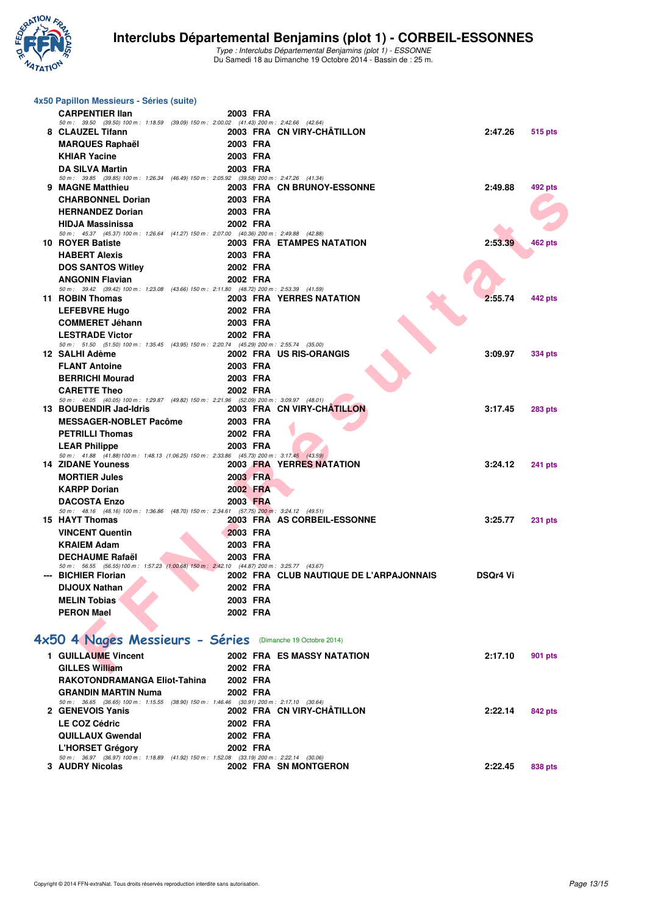

| 4x50 Papillon Messieurs - Séries (suite)                                                                           |          |                                         |                 |                |
|--------------------------------------------------------------------------------------------------------------------|----------|-----------------------------------------|-----------------|----------------|
| <b>CARPENTIER IIan</b>                                                                                             | 2003 FRA |                                         |                 |                |
| 50 m: 39.50 (39.50) 100 m: 1:18.59 (39.09) 150 m: 2:00.02 (41.43) 200 m: 2:42.66 (42.64)<br>8 CLAUZEL Tifann       |          | 2003 FRA CN VIRY-CHATILLON              | 2:47.26         |                |
|                                                                                                                    | 2003 FRA |                                         |                 | 515 pts        |
| <b>MARQUES Raphaël</b><br><b>KHIAR Yacine</b>                                                                      | 2003 FRA |                                         |                 |                |
| <b>DA SILVA Martin</b>                                                                                             | 2003 FRA |                                         |                 |                |
| 50 m: 39.85 (39.85) 100 m: 1:26.34 (46.49) 150 m: 2:05.92 (39.58) 200 m: 2:47.26 (41.34)                           |          |                                         |                 |                |
| 9 MAGNE Matthieu                                                                                                   |          | 2003 FRA CN BRUNOY-ESSONNE              | 2:49.88         | 492 pts        |
| <b>CHARBONNEL Dorian</b>                                                                                           | 2003 FRA |                                         |                 |                |
| <b>HERNANDEZ Dorian</b>                                                                                            | 2003 FRA |                                         |                 |                |
| <b>HIDJA Massinissa</b>                                                                                            | 2002 FRA |                                         |                 |                |
| 50 m: 45.37 (45.37) 100 m: 1:26.64 (41.27) 150 m: 2:07.00 (40.36) 200 m: 2:49.88 (42.88)                           |          |                                         |                 |                |
| 10 ROYER Batiste                                                                                                   |          | 2003 FRA ETAMPES NATATION               | 2:53.39         | 462 pts        |
| <b>HABERT Alexis</b>                                                                                               | 2003 FRA |                                         |                 |                |
| <b>DOS SANTOS Witley</b>                                                                                           | 2002 FRA |                                         |                 |                |
| <b>ANGONIN Flavian</b><br>50 m: 39.42 (39.42) 100 m: 1:23.08 (43.66) 150 m: 2:11.80 (48.72) 200 m: 2:53.39 (41.59) | 2002 FRA |                                         |                 |                |
| 11 ROBIN Thomas                                                                                                    |          | 2003 FRA YERRES NATATION                | 2:55.74         | 442 pts        |
| <b>LEFEBVRE Hugo</b>                                                                                               | 2002 FRA |                                         |                 |                |
| <b>COMMERET Jéhann</b>                                                                                             | 2003 FRA |                                         |                 |                |
| <b>LESTRADE Victor</b>                                                                                             | 2002 FRA |                                         |                 |                |
| 50 m: 51.50 (51.50) 100 m: 1:35.45 (43.95) 150 m: 2:20.74 (45.29) 200 m: 2:55.74 (35.00)                           |          |                                         |                 |                |
| 12 SALHI Adème                                                                                                     |          | 2002 FRA US RIS-ORANGIS                 | 3:09.97         | 334 pts        |
| <b>FLANT Antoine</b>                                                                                               | 2003 FRA |                                         |                 |                |
| <b>BERRICHI Mourad</b>                                                                                             | 2003 FRA |                                         |                 |                |
| <b>CARETTE Theo</b><br>50 m: 40.05 (40.05) 100 m: 1:29.87 (49.82) 150 m: 2:21.96 (52.09) 200 m: 3:09.97 (48.01)    | 2002 FRA |                                         |                 |                |
| 13 BOUBENDIR Jad-Idris                                                                                             |          | 2003 FRA CN VIRY-CHATILLON              | 3:17.45         | <b>283 pts</b> |
| <b>MESSAGER-NOBLET Pacôme</b>                                                                                      | 2003 FRA |                                         |                 |                |
| <b>PETRILLI Thomas</b>                                                                                             | 2002 FRA |                                         |                 |                |
| <b>LEAR Philippe</b>                                                                                               | 2003 FRA |                                         |                 |                |
| 50 m: 41.88 (41.88) 100 m: 1.48.13 (1.06.25) 150 m: 2.33.86 (45.73) 200 m: 3:17.45 (43.59)                         |          |                                         |                 |                |
| <b>14 ZIDANE Youness</b>                                                                                           |          | <b>2003 FRA YERRES NATATION</b>         | 3:24.12         | 241 pts        |
| <b>MORTIER Jules</b>                                                                                               | 2003 FRA |                                         |                 |                |
| <b>KARPP Dorian</b>                                                                                                | 2002 FRA |                                         |                 |                |
| <b>DACOSTA Enzo</b>                                                                                                | 2003 FRA |                                         |                 |                |
| 50 m: 48.16 (48.16) 100 m: 1:36.86 (48.70) 150 m: 2:34.61 (57.75) 200 m: 3:24.12 (49.51)<br>15 HAYT Thomas         |          | 2003 FRA AS CORBEIL-ESSONNE             | 3:25.77         | <b>231 pts</b> |
| <b>VINCENT Quentin</b>                                                                                             | 2003 FRA |                                         |                 |                |
| <b>KRAIEM Adam</b>                                                                                                 | 2003 FRA |                                         |                 |                |
| <b>DECHAUME Rafaël</b>                                                                                             | 2003 FRA |                                         |                 |                |
| 50 m: 56.55 (56.55) 100 m: 1:57.23 (1:00.68) 150 m: 2:42.10 (44.87) 200 m: 3:25.77 (43.67)                         |          |                                         |                 |                |
| --- BICHIER Florian                                                                                                |          | 2002 FRA CLUB NAUTIQUE DE L'ARPAJONNAIS | <b>DSQr4 Vi</b> |                |
| <b>DIJOUX Nathan</b>                                                                                               | 2002 FRA |                                         |                 |                |
| <b>MELIN Tobias</b>                                                                                                | 2003 FRA |                                         |                 |                |
| <b>PERON Mael</b>                                                                                                  | 2002 FRA |                                         |                 |                |
|                                                                                                                    |          |                                         |                 |                |
| 4x50 4 Nages Messieurs - Séries (Dimanche 19 Octobre 2014)                                                         |          |                                         |                 |                |
| 1 GUILLAUME Vincent                                                                                                |          | <b>2002 FRA ES MASSY NATATION</b>       | 2:17.10         | 901 pts        |
| <b>GILLES William</b>                                                                                              | 2002 FRA |                                         |                 |                |
| RAKOTONDRAMANGA Eliot-Tahina                                                                                       | 2002 FRA |                                         |                 |                |
| <b>GRANDIN MARTIN Numa</b>                                                                                         | 2002 FRA |                                         |                 |                |
| 50 m: 36.65 (36.65) 100 m: 1:15.55 (38.90) 150 m: 1:46.46 (30.91) 200 m: 2:17.10 (30.64)                           |          |                                         |                 |                |
| 2 GENEVOIS Yanis                                                                                                   |          | 2002 FRA CN VIRY-CHÂTILLON              | 2:22.14         | 842 pts        |
| <b>LE COZ Cédric</b>                                                                                               | 2002 FRA |                                         |                 |                |
| <b>QUILLAUX Gwendal</b>                                                                                            | 2002 FRA |                                         |                 |                |
| L'HORSET Grégory                                                                                                   | 2002 FRA |                                         |                 |                |
| 50 m: 36.97 (36.97) 100 m: 1:18.89 (41.92) 150 m: 1:52.08 (33.19) 200 m: 2:22.14 (30.06)<br>3 AUDRY Nicolas        |          | 2002 FRA SN MONTGERON                   | 2:22.45         | 838 pts        |
|                                                                                                                    |          |                                         |                 |                |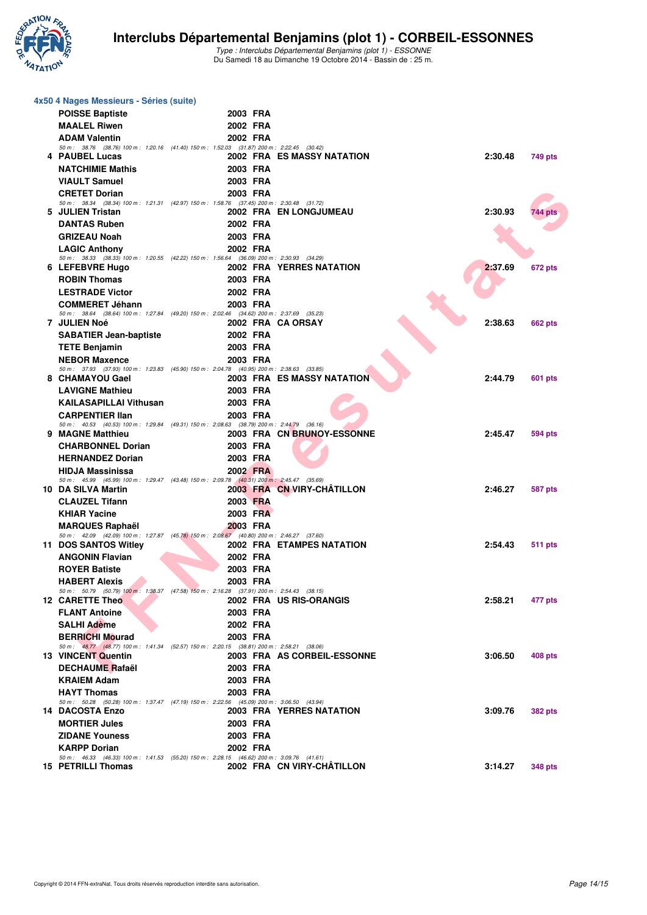

| 4x50 4 Nages Messieurs - Séries (suite) |                                                                                                                     |                      |  |                                   |         |                |  |  |  |  |
|-----------------------------------------|---------------------------------------------------------------------------------------------------------------------|----------------------|--|-----------------------------------|---------|----------------|--|--|--|--|
|                                         |                                                                                                                     |                      |  |                                   |         |                |  |  |  |  |
|                                         | <b>POISSE Baptiste</b><br><b>MAALEL Riwen</b>                                                                       | 2003 FRA<br>2002 FRA |  |                                   |         |                |  |  |  |  |
|                                         |                                                                                                                     |                      |  |                                   |         |                |  |  |  |  |
|                                         | <b>ADAM Valentin</b><br>50 m: 38.76 (38.76) 100 m: 1:20.16 (41.40) 150 m: 1:52.03 (31.87) 200 m: 2:22.45 (30.42)    | 2002 FRA             |  |                                   |         |                |  |  |  |  |
|                                         | 4 PAUBEL Lucas                                                                                                      |                      |  | 2002 FRA ES MASSY NATATION        | 2:30.48 | 749 pts        |  |  |  |  |
|                                         | <b>NATCHIMIE Mathis</b>                                                                                             | 2003 FRA             |  |                                   |         |                |  |  |  |  |
|                                         | <b>VIAULT Samuel</b>                                                                                                | 2003 FRA             |  |                                   |         |                |  |  |  |  |
|                                         | <b>CRETET Dorian</b>                                                                                                | 2003 FRA             |  |                                   |         |                |  |  |  |  |
|                                         | 50 m: 38.34 (38.34) 100 m: 1:21.31 (42.97) 150 m: 1:58.76 (37.45) 200 m: 2:30.48 (31.72)                            |                      |  |                                   |         |                |  |  |  |  |
|                                         | 5 JULIEN Tristan                                                                                                    |                      |  | 2002 FRA EN LONGJUMEAU            | 2:30.93 | 744 pts        |  |  |  |  |
|                                         | <b>DANTAS Ruben</b>                                                                                                 | 2002 FRA             |  |                                   |         |                |  |  |  |  |
|                                         | <b>GRIZEAU Noah</b>                                                                                                 | 2003 FRA             |  |                                   |         |                |  |  |  |  |
|                                         | <b>LAGIC Anthony</b><br>50 m: 38.33 (38.33) 100 m: 1:20.55 (42.22) 150 m: 1:56.64 (36.09) 200 m: 2:30.93 (34.29)    | 2002 FRA             |  |                                   |         |                |  |  |  |  |
|                                         | 6 LEFEBVRE Hugo                                                                                                     |                      |  | 2002 FRA YERRES NATATION          | 2:37.69 | 672 pts        |  |  |  |  |
|                                         | <b>ROBIN Thomas</b>                                                                                                 | 2003 FRA             |  |                                   |         |                |  |  |  |  |
|                                         | <b>LESTRADE Victor</b>                                                                                              | 2002 FRA             |  |                                   |         |                |  |  |  |  |
|                                         | <b>COMMERET Jéhann</b>                                                                                              | 2003 FRA             |  |                                   |         |                |  |  |  |  |
|                                         | 50 m: 38.64 (38.64) 100 m: 1:27.84 (49.20) 150 m: 2:02.46 (34.62) 200 m: 2:37.69 (35.23)                            |                      |  |                                   |         |                |  |  |  |  |
|                                         | 7 JULIEN Noé                                                                                                        |                      |  | 2002 FRA CA ORSAY                 | 2:38.63 | <b>662 pts</b> |  |  |  |  |
|                                         | <b>SABATIER Jean-baptiste</b>                                                                                       | 2002 FRA             |  |                                   |         |                |  |  |  |  |
|                                         | <b>TETE Benjamin</b>                                                                                                | 2003 FRA             |  |                                   |         |                |  |  |  |  |
|                                         | <b>NEBOR Maxence</b><br>50 m: 37.93 (37.93) 100 m: 1:23.83 (45.90) 150 m: 2:04.78 (40.95) 200 m: 2:38.63 (33.85)    | 2003 FRA             |  |                                   |         |                |  |  |  |  |
|                                         | 8 CHAMAYOU Gael                                                                                                     |                      |  | <b>2003 FRA ES MASSY NATATION</b> | 2:44.79 | 601 pts        |  |  |  |  |
|                                         | <b>LAVIGNE Mathieu</b>                                                                                              | 2003 FRA             |  |                                   |         |                |  |  |  |  |
|                                         | <b>KAILASAPILLAI Vithusan</b>                                                                                       | 2003 FRA             |  |                                   |         |                |  |  |  |  |
|                                         | <b>CARPENTIER IIan</b>                                                                                              | 2003 FRA             |  |                                   |         |                |  |  |  |  |
|                                         | 50 m: 40.53 (40.53) 100 m: 1:29.84 (49.31) 150 m: 2:08.63 (38.79) 200 m: 2:44.79 (36.16)                            |                      |  |                                   |         |                |  |  |  |  |
|                                         | 9 MAGNE Matthieu                                                                                                    |                      |  | 2003 FRA CN BRUNOY-ESSONNE        | 2:45.47 | 594 pts        |  |  |  |  |
|                                         | <b>CHARBONNEL Dorian</b>                                                                                            | 2003 FRA             |  |                                   |         |                |  |  |  |  |
|                                         | <b>HERNANDEZ Dorian</b>                                                                                             | 2003 FRA             |  |                                   |         |                |  |  |  |  |
|                                         | <b>HIDJA Massinissa</b><br>50 m: 45.99 (45.99) 100 m: 1:29.47 (43.48) 150 m: 2:09.78 (40.31) 200 m: 2:45.47 (35.69) | 2002 FRA             |  |                                   |         |                |  |  |  |  |
|                                         | 10 DA SILVA Martin                                                                                                  |                      |  | 2003 FRA CN VIRY-CHATILLON        | 2:46.27 | 587 pts        |  |  |  |  |
|                                         | <b>CLAUZEL Tifann</b>                                                                                               | 2003 FRA             |  |                                   |         |                |  |  |  |  |
|                                         | <b>KHIAR Yacine</b>                                                                                                 | 2003 FRA             |  |                                   |         |                |  |  |  |  |
|                                         | <b>MARQUES Raphaël</b>                                                                                              | 2003 FRA             |  |                                   |         |                |  |  |  |  |
|                                         | 50 m: 42.09 (42.09) 100 m: 1:27.87 (45.78) 150 m: 2:08.67 (40.80) 200 m: 2:46.27 (37.60)                            |                      |  |                                   |         |                |  |  |  |  |
|                                         | 11 DOS SANTOS Witley                                                                                                |                      |  | 2002 FRA ETAMPES NATATION         | 2:54.43 | 511 pts        |  |  |  |  |
|                                         | <b>ANGONIN Flavian</b>                                                                                              | 2002 FRA             |  |                                   |         |                |  |  |  |  |
|                                         | <b>ROYER Batiste</b>                                                                                                | 2003 FRA<br>2003 FRA |  |                                   |         |                |  |  |  |  |
|                                         | <b>HABERT Alexis</b><br>50 m: 50.79 (50.79) 100 m: 1:38.37 (47.58) 150 m: 2:16.28 (37.91) 200 m: 2:54.43 (38.15)    |                      |  |                                   |         |                |  |  |  |  |
|                                         | <b>12 CARETTE Theo</b>                                                                                              |                      |  | 2002 FRA US RIS-ORANGIS           | 2:58.21 | 477 pts        |  |  |  |  |
|                                         | <b>FLANT Antoine</b>                                                                                                | 2003 FRA             |  |                                   |         |                |  |  |  |  |
|                                         | <b>SALHI Adème</b>                                                                                                  | 2002 FRA             |  |                                   |         |                |  |  |  |  |
|                                         | <b>BERRICHI Mourad</b>                                                                                              | 2003 FRA             |  |                                   |         |                |  |  |  |  |
|                                         | 50 m: 48.77 (48.77) 100 m: 1:41.34 (52.57) 150 m: 2:20.15 (38.81) 200 m: 2:58.21 (38.06)                            |                      |  |                                   |         |                |  |  |  |  |
|                                         | <b>13 VINCENT Quentin</b>                                                                                           |                      |  | 2003 FRA AS CORBEIL-ESSONNE       | 3:06.50 | 408 pts        |  |  |  |  |
|                                         | <b>DECHAUME Rafaël</b>                                                                                              | 2003 FRA             |  |                                   |         |                |  |  |  |  |
|                                         | <b>KRAIEM Adam</b>                                                                                                  | 2003 FRA             |  |                                   |         |                |  |  |  |  |
|                                         | <b>HAYT Thomas</b><br>50 m: 50.28 (50.28) 100 m: 1:37.47 (47.19) 150 m: 2:22.56 (45.09) 200 m: 3:06.50 (43.94)      | 2003 FRA             |  |                                   |         |                |  |  |  |  |
|                                         | 14 DACOSTA Enzo                                                                                                     |                      |  | 2003 FRA YERRES NATATION          | 3:09.76 | <b>382 pts</b> |  |  |  |  |
|                                         | <b>MORTIER Jules</b>                                                                                                | 2003 FRA             |  |                                   |         |                |  |  |  |  |
|                                         | <b>ZIDANE Youness</b>                                                                                               | 2003 FRA             |  |                                   |         |                |  |  |  |  |
|                                         | <b>KARPP Dorian</b>                                                                                                 | 2002 FRA             |  |                                   |         |                |  |  |  |  |
|                                         | 50 m: 46.33 (46.33) 100 m: 1:41.53 (55.20) 150 m: 2:28.15 (46.62) 200 m: 3:09.76 (41.61)                            |                      |  |                                   |         |                |  |  |  |  |
|                                         | 15 PETRILLI Thomas                                                                                                  |                      |  | 2002 FRA CN VIRY-CHATILLON        | 3:14.27 | <b>348 pts</b> |  |  |  |  |